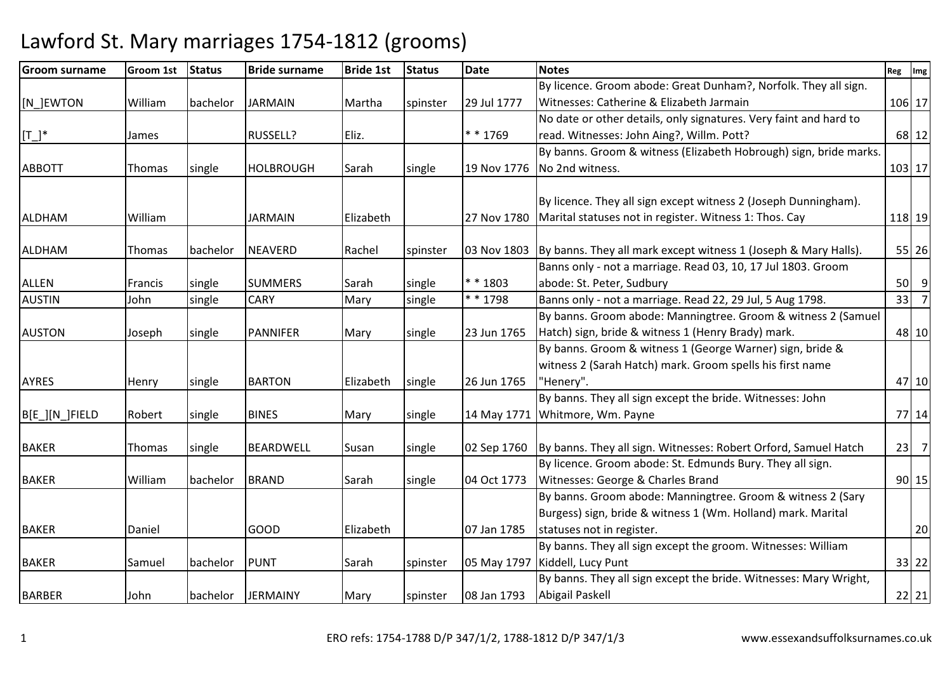| <b>Groom surname</b> | Groom 1st | <b>Status</b> | <b>Bride surname</b> | <b>Bride 1st</b> | <b>Status</b> | <b>Date</b> | <b>Notes</b>                                                                  | Reg Img |                |
|----------------------|-----------|---------------|----------------------|------------------|---------------|-------------|-------------------------------------------------------------------------------|---------|----------------|
|                      |           |               |                      |                  |               |             | By licence. Groom abode: Great Dunham?, Norfolk. They all sign.               |         |                |
| [N_]EWTON            | William   | bachelor      | <b>JARMAIN</b>       | Martha           | spinster      | 29 Jul 1777 | Witnesses: Catherine & Elizabeth Jarmain                                      |         | 106 17         |
|                      |           |               |                      |                  |               |             | No date or other details, only signatures. Very faint and hard to             |         |                |
| $[T_]^*$             | James     |               | RUSSELL?             | Eliz.            |               | * * 1769    | read. Witnesses: John Aing?, Willm. Pott?                                     |         | 68 12          |
|                      |           |               |                      |                  |               |             | By banns. Groom & witness (Elizabeth Hobrough) sign, bride marks.             |         |                |
| <b>ABBOTT</b>        | Thomas    | single        | <b>HOLBROUGH</b>     | Sarah            | single        | 19 Nov 1776 | No 2nd witness.                                                               |         | 103 17         |
|                      |           |               |                      |                  |               |             |                                                                               |         |                |
|                      |           |               |                      |                  |               |             | By licence. They all sign except witness 2 (Joseph Dunningham).               |         |                |
| <b>ALDHAM</b>        | William   |               | <b>JARMAIN</b>       | Elizabeth        |               | 27 Nov 1780 | Marital statuses not in register. Witness 1: Thos. Cay                        |         | 118 19         |
|                      |           |               |                      |                  |               |             |                                                                               |         |                |
| <b>ALDHAM</b>        | Thomas    | bachelor      | <b>NEAVERD</b>       | Rachel           | spinster      |             | 03 Nov 1803   By banns. They all mark except witness 1 (Joseph & Mary Halls). |         | 55 26          |
|                      |           |               |                      |                  |               |             | Banns only - not a marriage. Read 03, 10, 17 Jul 1803. Groom                  |         |                |
| <b>ALLEN</b>         | Francis   | single        | <b>SUMMERS</b>       | Sarah            | single        | * * 1803    | abode: St. Peter, Sudbury                                                     | 50      | 9              |
| <b>AUSTIN</b>        | John      | single        | <b>CARY</b>          | Mary             | single        | * * 1798    | Banns only - not a marriage. Read 22, 29 Jul, 5 Aug 1798.                     | 33      | $\overline{7}$ |
|                      |           |               |                      |                  |               |             | By banns. Groom abode: Manningtree. Groom & witness 2 (Samuel                 |         |                |
| <b>AUSTON</b>        | Joseph    | single        | <b>PANNIFER</b>      | Mary             | single        | 23 Jun 1765 | Hatch) sign, bride & witness 1 (Henry Brady) mark.                            |         | 48 10          |
|                      |           |               |                      |                  |               |             | By banns. Groom & witness 1 (George Warner) sign, bride &                     |         |                |
|                      |           |               |                      |                  |               |             | witness 2 (Sarah Hatch) mark. Groom spells his first name                     |         |                |
| <b>AYRES</b>         | Henry     | single        | <b>BARTON</b>        | Elizabeth        | single        | 26 Jun 1765 | "Henery".                                                                     |         | 47 10          |
|                      |           |               |                      |                  |               |             | By banns. They all sign except the bride. Witnesses: John                     |         |                |
| B[E_][N_]FIELD       | Robert    | single        | <b>BINES</b>         | Mary             | single        | 14 May 1771 | Whitmore, Wm. Payne                                                           |         | 77 14          |
|                      |           |               |                      |                  |               |             |                                                                               |         |                |
| <b>BAKER</b>         | Thomas    | single        | <b>BEARDWELL</b>     | Susan            | single        | 02 Sep 1760 | By banns. They all sign. Witnesses: Robert Orford, Samuel Hatch               | 23      | $\overline{7}$ |
|                      |           |               |                      |                  |               |             | By licence. Groom abode: St. Edmunds Bury. They all sign.                     |         |                |
| <b>BAKER</b>         | William   | bachelor      | <b>BRAND</b>         | Sarah            | single        | 04 Oct 1773 | Witnesses: George & Charles Brand                                             |         | $90$ 15        |
|                      |           |               |                      |                  |               |             | By banns. Groom abode: Manningtree. Groom & witness 2 (Sary                   |         |                |
|                      |           |               |                      |                  |               |             | Burgess) sign, bride & witness 1 (Wm. Holland) mark. Marital                  |         |                |
| <b>BAKER</b>         | Daniel    |               | <b>GOOD</b>          | Elizabeth        |               | 07 Jan 1785 | statuses not in register.                                                     |         | 20             |
|                      |           |               |                      |                  |               |             | By banns. They all sign except the groom. Witnesses: William                  |         |                |
| <b>BAKER</b>         | Samuel    | bachelor      | <b>PUNT</b>          | Sarah            | spinster      | 05 May 1797 | Kiddell, Lucy Punt                                                            |         | 33 22          |
|                      |           |               |                      |                  |               |             | By banns. They all sign except the bride. Witnesses: Mary Wright,             |         |                |
| <b>BARBER</b>        | John      | bachelor      | <b>JERMAINY</b>      | Mary             | spinster      | 08 Jan 1793 | Abigail Paskell                                                               |         | $22$ 21        |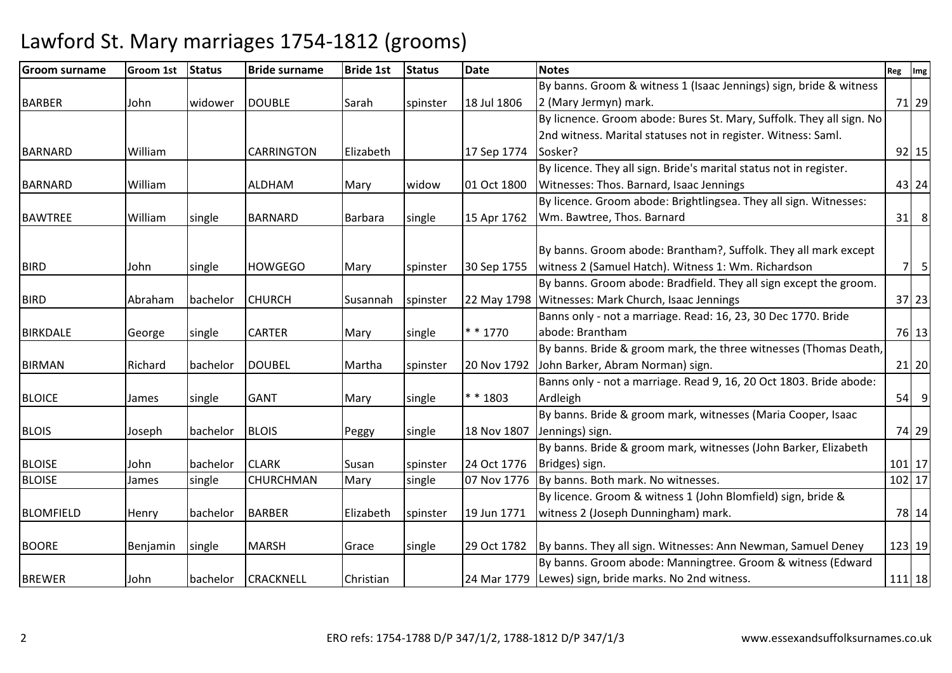| <b>Groom surname</b> | <b>Groom 1st</b> | <b>Status</b> | <b>Bride surname</b> | <b>Bride 1st</b> | <b>Status</b> | <b>Date</b> | <b>Notes</b>                                                         | Reg       | Img     |
|----------------------|------------------|---------------|----------------------|------------------|---------------|-------------|----------------------------------------------------------------------|-----------|---------|
|                      |                  |               |                      |                  |               |             | By banns. Groom & witness 1 (Isaac Jennings) sign, bride & witness   |           |         |
| <b>BARBER</b>        | John             | widower       | <b>DOUBLE</b>        | Sarah            | spinster      | 18 Jul 1806 | 2 (Mary Jermyn) mark.                                                |           | 71 29   |
|                      |                  |               |                      |                  |               |             | By licnence. Groom abode: Bures St. Mary, Suffolk. They all sign. No |           |         |
|                      |                  |               |                      |                  |               |             | 2nd witness. Marital statuses not in register. Witness: Saml.        |           |         |
| <b>BARNARD</b>       | William          |               | <b>CARRINGTON</b>    | Elizabeth        |               | 17 Sep 1774 | Sosker?                                                              |           | $92$ 15 |
|                      |                  |               |                      |                  |               |             | By licence. They all sign. Bride's marital status not in register.   |           |         |
| <b>BARNARD</b>       | William          |               | <b>ALDHAM</b>        | Mary             | widow         | 01 Oct 1800 | Witnesses: Thos. Barnard, Isaac Jennings                             |           | 43 24   |
|                      |                  |               |                      |                  |               |             | By licence. Groom abode: Brightlingsea. They all sign. Witnesses:    |           |         |
| <b>BAWTREE</b>       | William          | single        | <b>BARNARD</b>       | Barbara          | single        | 15 Apr 1762 | Wm. Bawtree, Thos. Barnard                                           | 31        | 8       |
|                      |                  |               |                      |                  |               |             | By banns. Groom abode: Brantham?, Suffolk. They all mark except      |           |         |
| <b>BIRD</b>          | John             |               | <b>HOWGEGO</b>       |                  |               | 30 Sep 1755 | witness 2 (Samuel Hatch). Witness 1: Wm. Richardson                  | <b>71</b> | 5       |
|                      |                  | single        |                      | Mary             | spinster      |             | By banns. Groom abode: Bradfield. They all sign except the groom.    |           |         |
| <b>BIRD</b>          | Abraham          | bachelor      | <b>CHURCH</b>        | Susannah         | spinster      |             | 22 May 1798   Witnesses: Mark Church, Isaac Jennings                 |           | 37 23   |
|                      |                  |               |                      |                  |               |             | Banns only - not a marriage. Read: 16, 23, 30 Dec 1770. Bride        |           |         |
| <b>BIRKDALE</b>      | George           | single        | <b>CARTER</b>        | Mary             | single        | $* * 1770$  | abode: Brantham                                                      |           | 76 13   |
|                      |                  |               |                      |                  |               |             | By banns. Bride & groom mark, the three witnesses (Thomas Death,     |           |         |
| <b>BIRMAN</b>        | Richard          | bachelor      | <b>DOUBEL</b>        | Martha           | spinster      | 20 Nov 1792 | John Barker, Abram Norman) sign.                                     |           | $21$ 20 |
|                      |                  |               |                      |                  |               |             | Banns only - not a marriage. Read 9, 16, 20 Oct 1803. Bride abode:   |           |         |
| <b>BLOICE</b>        | James            | single        | <b>GANT</b>          | Mary             | single        | * * 1803    | Ardleigh                                                             | 54        | 9       |
|                      |                  |               |                      |                  |               |             | By banns. Bride & groom mark, witnesses (Maria Cooper, Isaac         |           |         |
| <b>BLOIS</b>         | Joseph           | bachelor      | <b>BLOIS</b>         | Peggy            | single        | 18 Nov 1807 | Jennings) sign.                                                      |           | 74 29   |
|                      |                  |               |                      |                  |               |             | By banns. Bride & groom mark, witnesses (John Barker, Elizabeth      |           |         |
| <b>BLOISE</b>        | John             | bachelor      | <b>CLARK</b>         | Susan            | spinster      | 24 Oct 1776 | Bridges) sign.                                                       |           | 101 17  |
| <b>BLOISE</b>        | James            | single        | CHURCHMAN            | Mary             | single        | 07 Nov 1776 | By banns. Both mark. No witnesses.                                   |           | 102 17  |
|                      |                  |               |                      |                  |               |             | By licence. Groom & witness 1 (John Blomfield) sign, bride &         |           |         |
| <b>BLOMFIELD</b>     | Henry            | bachelor      | <b>BARBER</b>        | Elizabeth        | spinster      | 19 Jun 1771 | witness 2 (Joseph Dunningham) mark.                                  |           | 78 14   |
|                      |                  |               |                      |                  |               |             |                                                                      |           |         |
| <b>BOORE</b>         | Benjamin         | single        | <b>MARSH</b>         | Grace            | single        | 29 Oct 1782 | By banns. They all sign. Witnesses: Ann Newman, Samuel Deney         |           | 123 19  |
|                      |                  |               |                      |                  |               |             | By banns. Groom abode: Manningtree. Groom & witness (Edward          |           |         |
| <b>BREWER</b>        | John             | bachelor      | <b>CRACKNELL</b>     | Christian        |               |             | 24 Mar 1779 Lewes) sign, bride marks. No 2nd witness.                | 111 18    |         |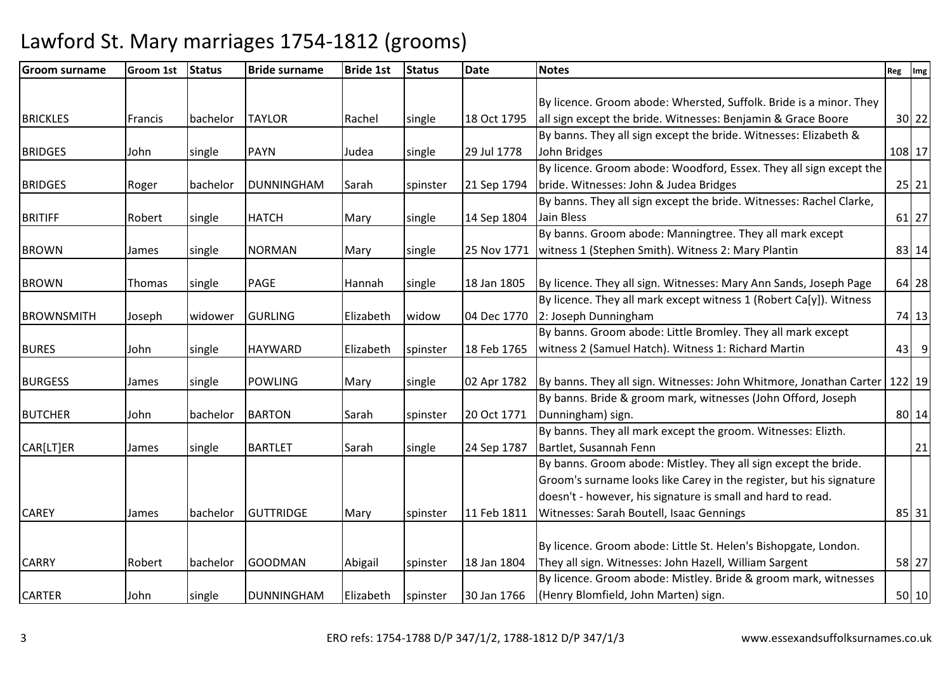| <b>Groom surname</b> | Groom 1st | <b>Status</b> | <b>Bride surname</b> | <b>Bride 1st</b> | <b>Status</b> | <b>Date</b> | <b>Notes</b>                                                                  | Reg | Img       |
|----------------------|-----------|---------------|----------------------|------------------|---------------|-------------|-------------------------------------------------------------------------------|-----|-----------|
|                      |           |               |                      |                  |               |             |                                                                               |     |           |
|                      |           |               |                      |                  |               |             | By licence. Groom abode: Whersted, Suffolk. Bride is a minor. They            |     |           |
| <b>BRICKLES</b>      | Francis   | bachelor      | <b>TAYLOR</b>        | Rachel           | single        | 18 Oct 1795 | all sign except the bride. Witnesses: Benjamin & Grace Boore                  |     | $30$ 22   |
|                      |           |               |                      |                  |               |             | By banns. They all sign except the bride. Witnesses: Elizabeth &              |     |           |
| <b>BRIDGES</b>       | John      | single        | <b>PAYN</b>          | Judea            | single        | 29 Jul 1778 | John Bridges                                                                  |     | 108 17    |
|                      |           |               |                      |                  |               |             | By licence. Groom abode: Woodford, Essex. They all sign except the            |     |           |
| <b>BRIDGES</b>       | Roger     | bachelor      | <b>DUNNINGHAM</b>    | Sarah            | spinster      | 21 Sep 1794 | bride. Witnesses: John & Judea Bridges                                        |     | $25$   21 |
|                      |           |               |                      |                  |               |             | By banns. They all sign except the bride. Witnesses: Rachel Clarke,           |     |           |
| <b>BRITIFF</b>       | Robert    | single        | <b>HATCH</b>         | Mary             | single        | 14 Sep 1804 | Jain Bless                                                                    |     | 61 27     |
|                      |           |               |                      |                  |               |             | By banns. Groom abode: Manningtree. They all mark except                      |     |           |
| <b>BROWN</b>         | James     | single        | <b>NORMAN</b>        | Mary             | single        | 25 Nov 1771 | witness 1 (Stephen Smith). Witness 2: Mary Plantin                            |     | 83 14     |
|                      |           |               |                      |                  |               |             |                                                                               |     |           |
| <b>BROWN</b>         | Thomas    | single        | PAGE                 | Hannah           | single        | 18 Jan 1805 | By licence. They all sign. Witnesses: Mary Ann Sands, Joseph Page             |     | 64 28     |
|                      |           |               |                      |                  |               |             | By licence. They all mark except witness 1 (Robert Ca[y]). Witness            |     |           |
| <b>BROWNSMITH</b>    | Joseph    | widower       | <b>GURLING</b>       | Elizabeth        | widow         | 04 Dec 1770 | 2: Joseph Dunningham                                                          |     | 74 13     |
|                      |           |               |                      |                  |               |             | By banns. Groom abode: Little Bromley. They all mark except                   |     |           |
| <b>BURES</b>         | John      | single        | <b>HAYWARD</b>       | Elizabeth        | spinster      | 18 Feb 1765 | witness 2 (Samuel Hatch). Witness 1: Richard Martin                           |     | $43$ 9    |
|                      |           |               |                      |                  |               |             |                                                                               |     |           |
| <b>BURGESS</b>       | James     | single        | <b>POWLING</b>       | Mary             | single        | 02 Apr 1782 | By banns. They all sign. Witnesses: John Whitmore, Jonathan Carter   122   19 |     |           |
|                      |           |               |                      |                  |               |             | By banns. Bride & groom mark, witnesses (John Offord, Joseph                  |     |           |
| <b>BUTCHER</b>       | John      | bachelor      | <b>BARTON</b>        | Sarah            | spinster      | 20 Oct 1771 | Dunningham) sign.                                                             |     | 80 14     |
|                      |           |               |                      |                  |               |             | By banns. They all mark except the groom. Witnesses: Elizth.                  |     |           |
| CAR[LT]ER            | James     | single        | <b>BARTLET</b>       | Sarah            | single        | 24 Sep 1787 | Bartlet, Susannah Fenn                                                        |     | 21        |
|                      |           |               |                      |                  |               |             | By banns. Groom abode: Mistley. They all sign except the bride.               |     |           |
|                      |           |               |                      |                  |               |             | Groom's surname looks like Carey in the register, but his signature           |     |           |
|                      |           |               |                      |                  |               |             | doesn't - however, his signature is small and hard to read.                   |     |           |
| <b>CAREY</b>         | James     | bachelor      | <b>GUTTRIDGE</b>     | Mary             | spinster      | 11 Feb 1811 | Witnesses: Sarah Boutell, Isaac Gennings                                      |     | 85 31     |
|                      |           |               |                      |                  |               |             |                                                                               |     |           |
|                      |           |               |                      |                  |               |             | By licence. Groom abode: Little St. Helen's Bishopgate, London.               |     |           |
| <b>CARRY</b>         | Robert    | bachelor      | <b>GOODMAN</b>       | Abigail          | spinster      | 18 Jan 1804 | They all sign. Witnesses: John Hazell, William Sargent                        |     | 58 27     |
|                      |           |               |                      |                  |               |             | By licence. Groom abode: Mistley. Bride & groom mark, witnesses               |     |           |
| <b>CARTER</b>        | John      | single        | <b>DUNNINGHAM</b>    | Elizabeth        | spinster      | 30 Jan 1766 | (Henry Blomfield, John Marten) sign.                                          |     | 50 10     |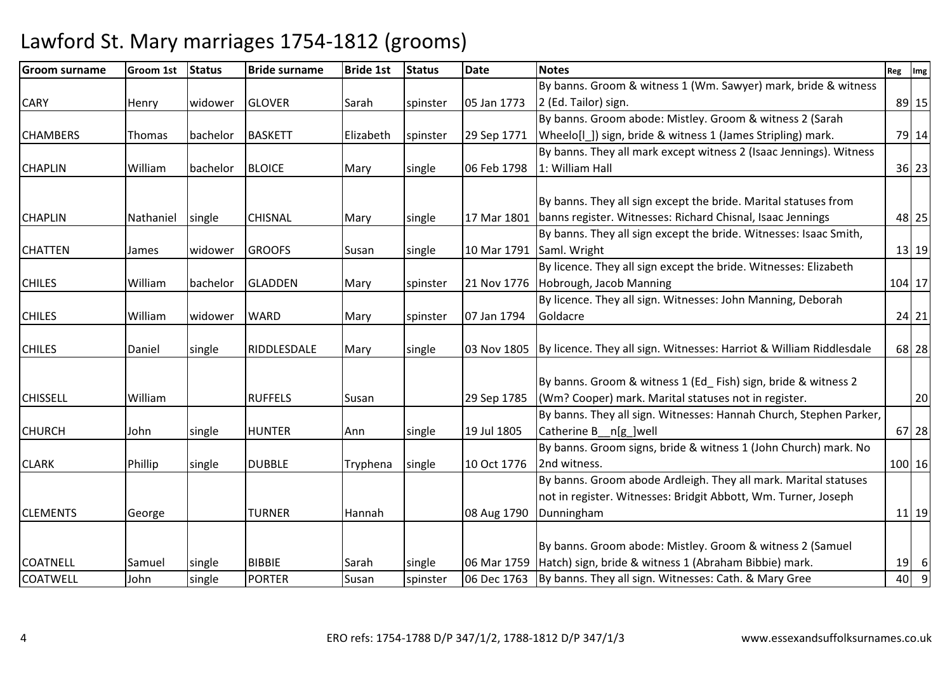| <b>Groom surname</b> | <b>Groom 1st</b> | <b>Status</b> | <b>Bride surname</b> | <b>Bride 1st</b> | <b>Status</b> | <b>Date</b> | <b>Notes</b>                                                                      | Reg    | Img       |
|----------------------|------------------|---------------|----------------------|------------------|---------------|-------------|-----------------------------------------------------------------------------------|--------|-----------|
|                      |                  |               |                      |                  |               |             | By banns. Groom & witness 1 (Wm. Sawyer) mark, bride & witness                    |        |           |
| <b>CARY</b>          | Henry            | widower       | <b>GLOVER</b>        | Sarah            | spinster      | 05 Jan 1773 | 2 (Ed. Tailor) sign.                                                              |        | 89 15     |
|                      |                  |               |                      |                  |               |             | By banns. Groom abode: Mistley. Groom & witness 2 (Sarah                          |        |           |
| <b>CHAMBERS</b>      | Thomas           | bachelor      | <b>BASKETT</b>       | Elizabeth        | spinster      | 29 Sep 1771 | Wheelo[I_]) sign, bride & witness 1 (James Stripling) mark.                       |        | 79 14     |
|                      |                  |               |                      |                  |               |             | By banns. They all mark except witness 2 (Isaac Jennings). Witness                |        |           |
| <b>CHAPLIN</b>       | William          | bachelor      | <b>BLOICE</b>        | Mary             | single        | 06 Feb 1798 | 1: William Hall                                                                   |        | $36$ 23   |
|                      |                  |               |                      |                  |               |             |                                                                                   |        |           |
|                      |                  |               |                      |                  |               |             | By banns. They all sign except the bride. Marital statuses from                   |        |           |
| <b>CHAPLIN</b>       | Nathaniel        | single        | <b>CHISNAL</b>       | Mary             | single        | 17 Mar 1801 | banns register. Witnesses: Richard Chisnal, Isaac Jennings                        |        | 48 25     |
|                      |                  |               |                      |                  |               |             | By banns. They all sign except the bride. Witnesses: Isaac Smith,                 |        |           |
| <b>CHATTEN</b>       | James            | widower       | <b>GROOFS</b>        | Susan            | single        |             | 10 Mar 1791 Saml. Wright                                                          |        | $13$ 19   |
|                      |                  |               |                      |                  |               |             | By licence. They all sign except the bride. Witnesses: Elizabeth                  |        |           |
| <b>CHILES</b>        | William          | bachelor      | <b>GLADDEN</b>       | Mary             | spinster      | 21 Nov 1776 | Hobrough, Jacob Manning                                                           | 104 17 |           |
|                      |                  |               |                      |                  |               |             | By licence. They all sign. Witnesses: John Manning, Deborah                       |        |           |
| <b>CHILES</b>        | William          | widower       | <b>WARD</b>          | Mary             | spinster      | 07 Jan 1794 | Goldacre                                                                          |        | $24$ 21   |
|                      |                  |               |                      |                  |               |             |                                                                                   |        |           |
| <b>CHILES</b>        | Daniel           | single        | RIDDLESDALE          | Mary             | single        |             | 03 Nov 1805   By licence. They all sign. Witnesses: Harriot & William Riddlesdale |        | 68 28     |
|                      |                  |               |                      |                  |               |             | By banns. Groom & witness 1 (Ed Fish) sign, bride & witness 2                     |        |           |
| <b>CHISSELL</b>      | William          |               | <b>RUFFELS</b>       |                  |               |             | (Wm? Cooper) mark. Marital statuses not in register.                              |        | 20        |
|                      |                  |               |                      | Susan            |               | 29 Sep 1785 | By banns. They all sign. Witnesses: Hannah Church, Stephen Parker,                |        |           |
| <b>CHURCH</b>        | John             |               | <b>HUNTER</b>        |                  |               | 19 Jul 1805 | Catherine B__n[g_]well                                                            |        | 67 28     |
|                      |                  | single        |                      | Ann              | single        |             | By banns. Groom signs, bride & witness 1 (John Church) mark. No                   |        |           |
|                      |                  |               | <b>DUBBLE</b>        |                  |               | 10 Oct 1776 | 2nd witness.                                                                      |        |           |
| <b>CLARK</b>         | Phillip          | single        |                      | Tryphena         | single        |             | By banns. Groom abode Ardleigh. They all mark. Marital statuses                   | 100 16 |           |
|                      |                  |               |                      |                  |               |             | not in register. Witnesses: Bridgit Abbott, Wm. Turner, Joseph                    |        |           |
| <b>CLEMENTS</b>      |                  |               | <b>TURNER</b>        | Hannah           |               |             |                                                                                   |        | $11$   19 |
|                      | George           |               |                      |                  |               | 08 Aug 1790 | Dunningham                                                                        |        |           |
|                      |                  |               |                      |                  |               |             | By banns. Groom abode: Mistley. Groom & witness 2 (Samuel                         |        |           |
| <b>COATNELL</b>      | Samuel           | single        | <b>BIBBIE</b>        | Sarah            | single        | 06 Mar 1759 | Hatch) sign, bride & witness 1 (Abraham Bibbie) mark.                             | 19     | $6 \mid$  |
| <b>COATWELL</b>      | John             | single        | <b>PORTER</b>        | Susan            | spinster      |             | 06 Dec 1763 By banns. They all sign. Witnesses: Cath. & Mary Gree                 | 40     | 9         |
|                      |                  |               |                      |                  |               |             |                                                                                   |        |           |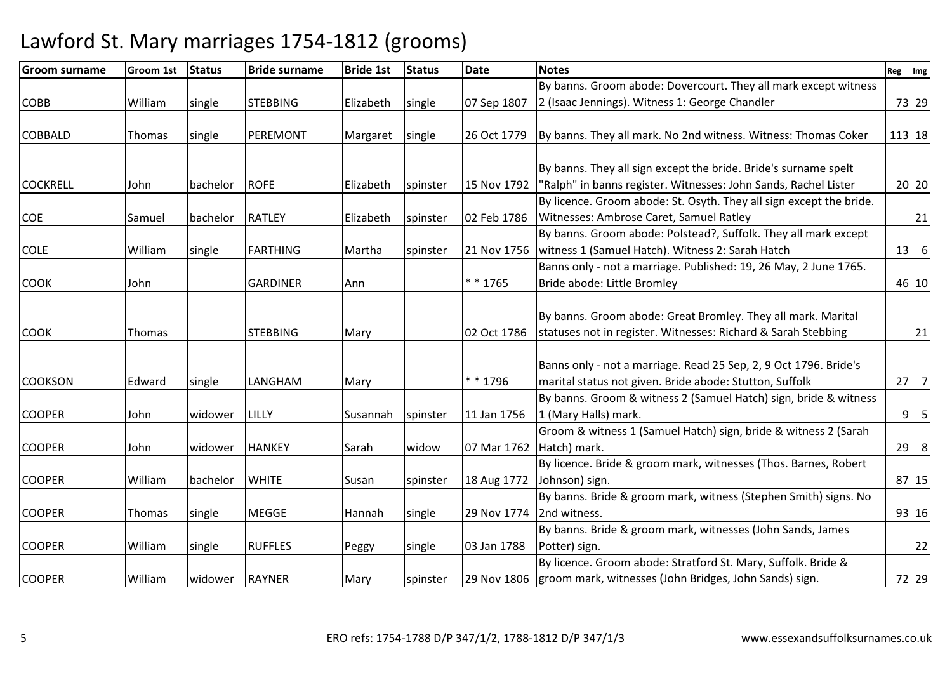| <b>Groom surname</b> | Groom 1st      | <b>Status</b> | <b>Bride surname</b> | <b>Bride 1st</b> | <b>Status</b> | <b>Date</b> | <b>Notes</b>                                                        | Reg    | Img             |
|----------------------|----------------|---------------|----------------------|------------------|---------------|-------------|---------------------------------------------------------------------|--------|-----------------|
|                      |                |               |                      |                  |               |             | By banns. Groom abode: Dovercourt. They all mark except witness     |        |                 |
| <b>COBB</b>          | William        | single        | <b>STEBBING</b>      | Elizabeth        | single        | 07 Sep 1807 | 2 (Isaac Jennings). Witness 1: George Chandler                      |        | 73 29           |
|                      |                |               |                      |                  |               |             |                                                                     |        |                 |
| <b>COBBALD</b>       | Thomas         | single        | PEREMONT             | Margaret         | single        | 26 Oct 1779 | By banns. They all mark. No 2nd witness. Witness: Thomas Coker      | 113 18 |                 |
|                      |                |               |                      |                  |               |             |                                                                     |        |                 |
|                      |                |               |                      |                  |               |             | By banns. They all sign except the bride. Bride's surname spelt     |        |                 |
| <b>COCKRELL</b>      | John           | bachelor      | <b>ROFE</b>          | Elizabeth        | spinster      | 15 Nov 1792 | "Ralph" in banns register. Witnesses: John Sands, Rachel Lister     |        | 20 20           |
|                      |                |               |                      |                  |               |             | By licence. Groom abode: St. Osyth. They all sign except the bride. |        |                 |
| <b>COE</b>           | Samuel         | bachelor      | <b>RATLEY</b>        | Elizabeth        | spinster      | 02 Feb 1786 | Witnesses: Ambrose Caret, Samuel Ratley                             |        | 21              |
|                      |                |               |                      |                  |               |             | By banns. Groom abode: Polstead?, Suffolk. They all mark except     |        |                 |
| <b>COLE</b>          | William        | single        | <b>FARTHING</b>      | Martha           | spinster      | 21 Nov 1756 | witness 1 (Samuel Hatch). Witness 2: Sarah Hatch                    | 13     | $6\phantom{1}6$ |
|                      |                |               |                      |                  |               |             | Banns only - not a marriage. Published: 19, 26 May, 2 June 1765.    |        |                 |
| <b>COOK</b>          | John           |               | <b>GARDINER</b>      | Ann              |               | $* * 1765$  | Bride abode: Little Bromley                                         |        | 46 10           |
|                      |                |               |                      |                  |               |             |                                                                     |        |                 |
|                      |                |               |                      |                  |               |             | By banns. Groom abode: Great Bromley. They all mark. Marital        |        |                 |
| <b>COOK</b>          | Thomas         |               | <b>STEBBING</b>      | Mary             |               | 02 Oct 1786 | statuses not in register. Witnesses: Richard & Sarah Stebbing       |        | 21              |
|                      |                |               |                      |                  |               |             |                                                                     |        |                 |
|                      |                |               |                      |                  |               |             | Banns only - not a marriage. Read 25 Sep, 2, 9 Oct 1796. Bride's    |        |                 |
| <b>COOKSON</b>       | <b>IEdward</b> | single        | LANGHAM              | Mary             |               | * * 1796    | marital status not given. Bride abode: Stutton, Suffolk             | 27     | $\overline{7}$  |
|                      |                |               |                      |                  |               |             | By banns. Groom & witness 2 (Samuel Hatch) sign, bride & witness    |        |                 |
| <b>COOPER</b>        | John           | widower       | LILLY                | Susannah         | spinster      | 11 Jan 1756 | 1 (Mary Halls) mark.                                                | 9      | $\overline{5}$  |
|                      |                |               |                      |                  |               |             | Groom & witness 1 (Samuel Hatch) sign, bride & witness 2 (Sarah     |        |                 |
| <b>COOPER</b>        | John           | widower       | <b>HANKEY</b>        | Sarah            | widow         | 07 Mar 1762 | Hatch) mark.                                                        | 29     | 8               |
|                      |                |               |                      |                  |               |             | By licence. Bride & groom mark, witnesses (Thos. Barnes, Robert     |        |                 |
| <b>COOPER</b>        | William        | bachelor      | <b>WHITE</b>         | Susan            | spinster      | 18 Aug 1772 | Johnson) sign.                                                      |        | 87 15           |
|                      |                |               |                      |                  |               |             | By banns. Bride & groom mark, witness (Stephen Smith) signs. No     |        |                 |
| <b>COOPER</b>        | Thomas         | single        | <b>MEGGE</b>         | Hannah           | single        | 29 Nov 1774 | 2nd witness.                                                        |        | 93 16           |
|                      |                |               |                      |                  |               |             | By banns. Bride & groom mark, witnesses (John Sands, James          |        |                 |
| <b>COOPER</b>        | William        | single        | <b>RUFFLES</b>       | Peggy            | single        | 03 Jan 1788 | Potter) sign.                                                       |        | 22              |
|                      |                |               |                      |                  |               |             | By licence. Groom abode: Stratford St. Mary, Suffolk. Bride &       |        |                 |
| <b>COOPER</b>        | William        | widower       | <b>RAYNER</b>        | Mary             | spinster      |             | 29 Nov 1806 groom mark, witnesses (John Bridges, John Sands) sign.  |        | 72 29           |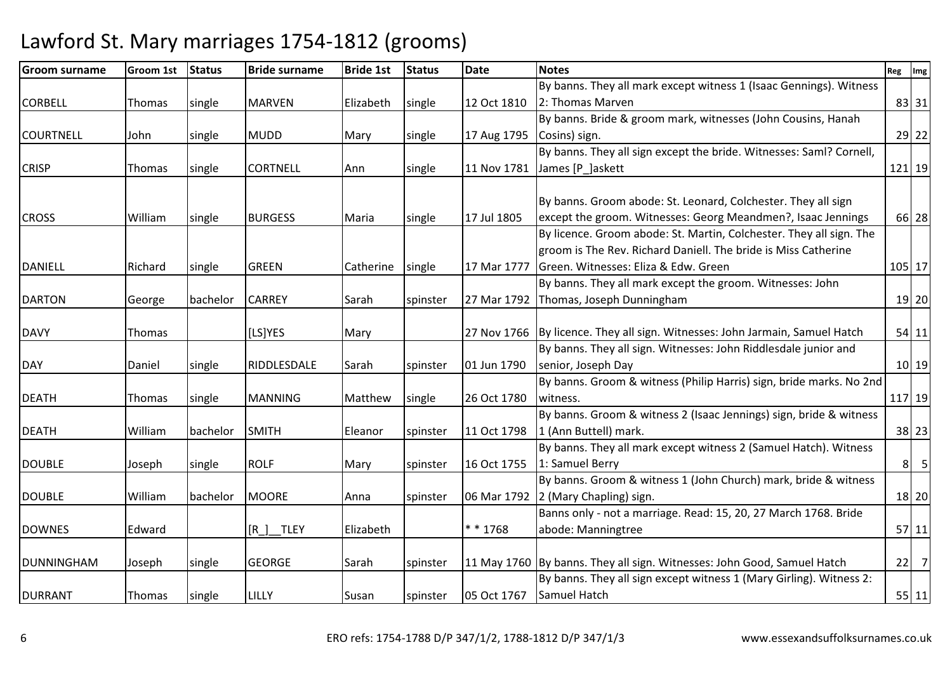| <b>Groom surname</b> | <b>Groom 1st</b> | <b>Status</b> | <b>Bride surname</b> | <b>Bride 1st</b> | <b>Status</b> | <b>Date</b> | <b>Notes</b>                                                                 | Reg            | Img             |
|----------------------|------------------|---------------|----------------------|------------------|---------------|-------------|------------------------------------------------------------------------------|----------------|-----------------|
|                      |                  |               |                      |                  |               |             | By banns. They all mark except witness 1 (Isaac Gennings). Witness           |                |                 |
| <b>CORBELL</b>       | Thomas           | single        | <b>MARVEN</b>        | Elizabeth        | single        | 12 Oct 1810 | 2: Thomas Marven                                                             |                | 83 31           |
|                      |                  |               |                      |                  |               |             | By banns. Bride & groom mark, witnesses (John Cousins, Hanah                 |                |                 |
| <b>COURTNELL</b>     | John             | single        | <b>MUDD</b>          | Mary             | single        | 17 Aug 1795 | Cosins) sign.                                                                |                | 29 22           |
|                      |                  |               |                      |                  |               |             | By banns. They all sign except the bride. Witnesses: Saml? Cornell,          |                |                 |
| <b>CRISP</b>         | Thomas           | single        | <b>CORTNELL</b>      | Ann              | single        | 11 Nov 1781 | James [P_]askett                                                             |                | 121 19          |
|                      |                  |               |                      |                  |               |             |                                                                              |                |                 |
|                      |                  |               |                      |                  |               |             | By banns. Groom abode: St. Leonard, Colchester. They all sign                |                |                 |
| <b>CROSS</b>         | William          | single        | <b>BURGESS</b>       | Maria            | single        | 17 Jul 1805 | except the groom. Witnesses: Georg Meandmen?, Isaac Jennings                 |                | 66 28           |
|                      |                  |               |                      |                  |               |             | By licence. Groom abode: St. Martin, Colchester. They all sign. The          |                |                 |
|                      |                  |               |                      |                  |               |             | groom is The Rev. Richard Daniell. The bride is Miss Catherine               |                |                 |
| <b>DANIELL</b>       | Richard          | single        | <b>GREEN</b>         | Catherine        | single        | 17 Mar 1777 | Green. Witnesses: Eliza & Edw. Green                                         |                | 105 17          |
|                      |                  |               |                      |                  |               |             | By banns. They all mark except the groom. Witnesses: John                    |                |                 |
| <b>DARTON</b>        | George           | bachelor      | <b>CARREY</b>        | Sarah            | spinster      | 27 Mar 1792 | Thomas, Joseph Dunningham                                                    |                | 19 20           |
|                      |                  |               |                      |                  |               |             |                                                                              |                |                 |
| <b>DAVY</b>          | Thomas           |               | [LS]YES              | Mary             |               |             | 27 Nov 1766 By licence. They all sign. Witnesses: John Jarmain, Samuel Hatch |                | $54$   11       |
|                      |                  |               |                      |                  |               |             | By banns. They all sign. Witnesses: John Riddlesdale junior and              |                |                 |
| <b>DAY</b>           | Daniel           | single        | RIDDLESDALE          | Sarah            | spinster      | 01 Jun 1790 | senior, Joseph Day                                                           |                | $10$ 19         |
|                      |                  |               |                      |                  |               |             | By banns. Groom & witness (Philip Harris) sign, bride marks. No 2nd          |                |                 |
| <b>DEATH</b>         | Thomas           | single        | <b>MANNING</b>       | Matthew          | single        | 26 Oct 1780 | witness.                                                                     | 117 19         |                 |
|                      |                  |               |                      |                  |               |             | By banns. Groom & witness 2 (Isaac Jennings) sign, bride & witness           |                |                 |
| <b>DEATH</b>         | William          | bachelor      | <b>SMITH</b>         | Eleanor          | spinster      | 11 Oct 1798 | 1 (Ann Buttell) mark.                                                        |                | $38$ 23         |
|                      |                  |               |                      |                  |               |             | By banns. They all mark except witness 2 (Samuel Hatch). Witness             |                |                 |
| <b>DOUBLE</b>        | Joseph           | single        | <b>ROLF</b>          | Mary             | spinster      | 16 Oct 1755 | 1: Samuel Berry                                                              | 8 <sup>1</sup> | $5\overline{)}$ |
|                      |                  |               |                      |                  |               |             | By banns. Groom & witness 1 (John Church) mark, bride & witness              |                |                 |
| <b>DOUBLE</b>        | William          | bachelor      | <b>MOORE</b>         | Anna             | spinster      | 06 Mar 1792 | 2 (Mary Chapling) sign.                                                      |                | 18 20           |
|                      |                  |               |                      |                  |               |             | Banns only - not a marriage. Read: 15, 20, 27 March 1768. Bride              |                |                 |
| <b>DOWNES</b>        | Edward           |               | $[R]$ TLEY           | Elizabeth        |               | * * 1768    | abode: Manningtree                                                           |                | $57$   11       |
|                      |                  |               |                      |                  |               |             |                                                                              |                |                 |
| DUNNINGHAM           | Joseph           | single        | <b>GEORGE</b>        | Sarah            | spinster      |             | 11 May 1760 By banns. They all sign. Witnesses: John Good, Samuel Hatch      | 22             | $\overline{7}$  |
|                      |                  |               |                      |                  |               |             | By banns. They all sign except witness 1 (Mary Girling). Witness 2:          |                |                 |
| <b>DURRANT</b>       | Thomas           | single        | LILLY                | Susan            | spinster      |             | 05 Oct 1767 Samuel Hatch                                                     |                | $55$   11       |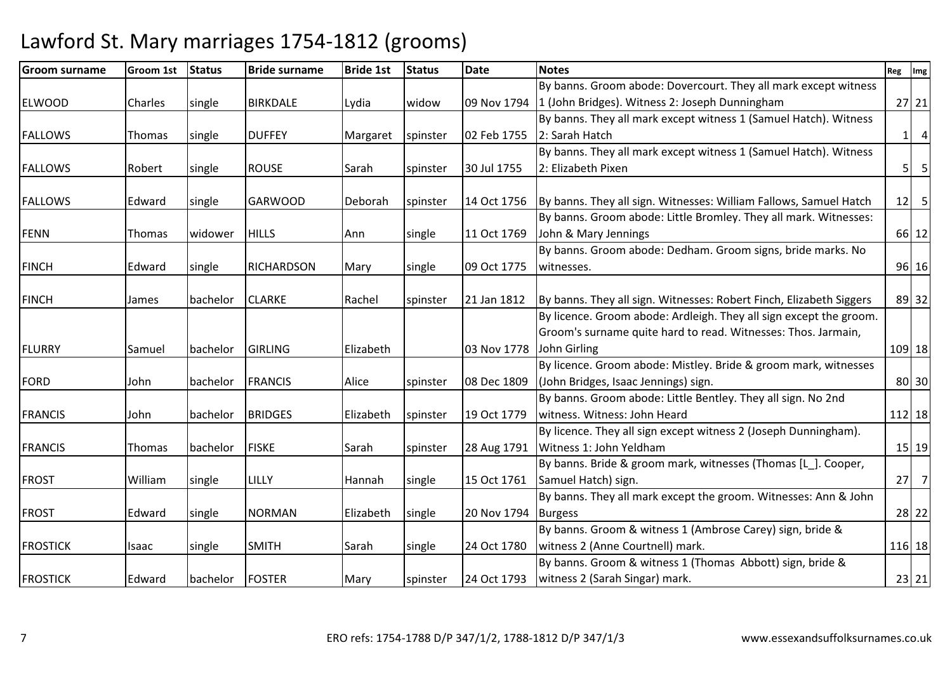| <b>Groom surname</b> | <b>Groom 1st</b> | <b>Status</b> | <b>Bride surname</b> | <b>Bride 1st</b> | <b>Status</b> | <b>Date</b> | <b>Notes</b>                                                        | Reg      | Img                     |
|----------------------|------------------|---------------|----------------------|------------------|---------------|-------------|---------------------------------------------------------------------|----------|-------------------------|
|                      |                  |               |                      |                  |               |             | By banns. Groom abode: Dovercourt. They all mark except witness     |          |                         |
| <b>ELWOOD</b>        | Charles          | single        | <b>BIRKDALE</b>      | Lydia            | widow         |             | 09 Nov 1794 1 (John Bridges). Witness 2: Joseph Dunningham          |          | $27$   21               |
|                      |                  |               |                      |                  |               |             | By banns. They all mark except witness 1 (Samuel Hatch). Witness    |          |                         |
| <b>FALLOWS</b>       | Thomas           | single        | <b>DUFFEY</b>        | Margaret         | spinster      | 02 Feb 1755 | 2: Sarah Hatch                                                      | $1\vert$ | $\overline{a}$          |
|                      |                  |               |                      |                  |               |             | By banns. They all mark except witness 1 (Samuel Hatch). Witness    |          |                         |
| <b>FALLOWS</b>       | Robert           | single        | <b>ROUSE</b>         | Sarah            | spinster      | 30 Jul 1755 | 2: Elizabeth Pixen                                                  | 5        | $\overline{\mathbf{5}}$ |
| <b>FALLOWS</b>       | Edward           | single        | <b>GARWOOD</b>       | Deborah          | spinster      | 14 Oct 1756 | By banns. They all sign. Witnesses: William Fallows, Samuel Hatch   | 12       | $5\phantom{.0}$         |
|                      |                  |               |                      |                  |               |             | By banns. Groom abode: Little Bromley. They all mark. Witnesses:    |          |                         |
| <b>FENN</b>          | Thomas           | widower       | <b>HILLS</b>         | Ann              | single        | 11 Oct 1769 | John & Mary Jennings                                                |          | 66 12                   |
|                      |                  |               |                      |                  |               |             | By banns. Groom abode: Dedham. Groom signs, bride marks. No         |          |                         |
| <b>FINCH</b>         | Edward           | single        | <b>RICHARDSON</b>    | Mary             | single        | 09 Oct 1775 | witnesses.                                                          |          | 96 16                   |
| <b>FINCH</b>         | James            | bachelor      | <b>CLARKE</b>        | Rachel           | spinster      | 21 Jan 1812 | By banns. They all sign. Witnesses: Robert Finch, Elizabeth Siggers |          | 89 32                   |
|                      |                  |               |                      |                  |               |             | By licence. Groom abode: Ardleigh. They all sign except the groom.  |          |                         |
|                      |                  |               |                      |                  |               |             | Groom's surname quite hard to read. Witnesses: Thos. Jarmain,       |          |                         |
| <b>FLURRY</b>        | Samuel           | bachelor      | <b>GIRLING</b>       | Elizabeth        |               | 03 Nov 1778 | John Girling                                                        |          | 109 18                  |
|                      |                  |               |                      |                  |               |             | By licence. Groom abode: Mistley. Bride & groom mark, witnesses     |          |                         |
| <b>FORD</b>          | John             | bachelor      | <b>FRANCIS</b>       | Alice            | spinster      | 08 Dec 1809 | (John Bridges, Isaac Jennings) sign.                                |          | 80 30                   |
|                      |                  |               |                      |                  |               |             | By banns. Groom abode: Little Bentley. They all sign. No 2nd        |          |                         |
| <b>FRANCIS</b>       | John             | bachelor      | <b>BRIDGES</b>       | Elizabeth        | spinster      | 19 Oct 1779 | witness. Witness: John Heard                                        |          | 112 18                  |
|                      |                  |               |                      |                  |               |             | By licence. They all sign except witness 2 (Joseph Dunningham).     |          |                         |
| <b>FRANCIS</b>       | Thomas           | bachelor      | <b>FISKE</b>         | Sarah            | spinster      | 28 Aug 1791 | Witness 1: John Yeldham                                             |          | $15$   19               |
|                      |                  |               |                      |                  |               |             | By banns. Bride & groom mark, witnesses (Thomas [L_]. Cooper,       |          |                         |
| <b>FROST</b>         | William          | single        | LILLY                | Hannah           | single        | 15 Oct 1761 | Samuel Hatch) sign.                                                 | 27       | $\overline{7}$          |
|                      |                  |               |                      |                  |               |             | By banns. They all mark except the groom. Witnesses: Ann & John     |          |                         |
| <b>FROST</b>         | Edward           | single        | <b>NORMAN</b>        | Elizabeth        | single        | 20 Nov 1794 | <b>Burgess</b>                                                      |          | 28 22                   |
|                      |                  |               |                      |                  |               |             | By banns. Groom & witness 1 (Ambrose Carey) sign, bride &           |          |                         |
| <b>FROSTICK</b>      | Isaac            | single        | <b>SMITH</b>         | Sarah            | single        | 24 Oct 1780 | witness 2 (Anne Courtnell) mark.                                    |          | 116 18                  |
|                      |                  |               |                      |                  |               |             | By banns. Groom & witness 1 (Thomas Abbott) sign, bride &           |          |                         |
| <b>FROSTICK</b>      | Edward           | bachelor      | <b>FOSTER</b>        | Mary             | spinster      | 24 Oct 1793 | witness 2 (Sarah Singar) mark.                                      |          | $23$ 21                 |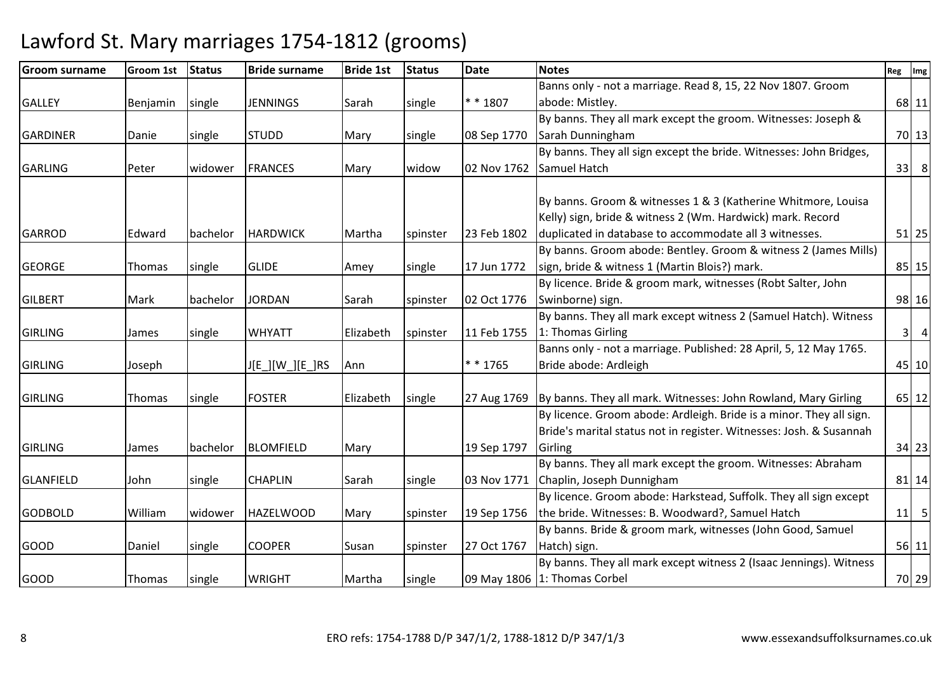| <b>Groom surname</b> | <b>Groom 1st</b> | <b>Status</b> | <b>Bride surname</b> | <b>Bride 1st</b> | <b>Status</b> | <b>Date</b> | <b>Notes</b>                                                        | Reg                     | Img            |
|----------------------|------------------|---------------|----------------------|------------------|---------------|-------------|---------------------------------------------------------------------|-------------------------|----------------|
|                      |                  |               |                      |                  |               |             | Banns only - not a marriage. Read 8, 15, 22 Nov 1807. Groom         |                         |                |
| <b>GALLEY</b>        | Benjamin         | single        | <b>JENNINGS</b>      | Sarah            | single        | $* * 1807$  | abode: Mistley.                                                     |                         | 68 11          |
|                      |                  |               |                      |                  |               |             | By banns. They all mark except the groom. Witnesses: Joseph &       |                         |                |
| <b>GARDINER</b>      | Danie            | single        | <b>STUDD</b>         | Mary             | single        | 08 Sep 1770 | Sarah Dunningham                                                    |                         | 70 13          |
|                      |                  |               |                      |                  |               |             | By banns. They all sign except the bride. Witnesses: John Bridges,  |                         |                |
| <b>GARLING</b>       | Peter            | widower       | <b>FRANCES</b>       | Mary             | widow         | 02 Nov 1762 | Samuel Hatch                                                        | 33                      | 8              |
|                      |                  |               |                      |                  |               |             |                                                                     |                         |                |
|                      |                  |               |                      |                  |               |             | By banns. Groom & witnesses 1 & 3 (Katherine Whitmore, Louisa       |                         |                |
|                      |                  |               |                      |                  |               |             | Kelly) sign, bride & witness 2 (Wm. Hardwick) mark. Record          |                         |                |
| <b>GARROD</b>        | Edward           | bachelor      | <b>HARDWICK</b>      | Martha           | spinster      | 23 Feb 1802 | duplicated in database to accommodate all 3 witnesses.              |                         | $51$   25      |
|                      |                  |               |                      |                  |               |             | By banns. Groom abode: Bentley. Groom & witness 2 (James Mills)     |                         |                |
| <b>GEORGE</b>        | Thomas           | single        | <b>GLIDE</b>         | Amey             | single        | 17 Jun 1772 | sign, bride & witness 1 (Martin Blois?) mark.                       |                         | $85$   15      |
|                      |                  |               |                      |                  |               |             | By licence. Bride & groom mark, witnesses (Robt Salter, John        |                         |                |
| <b>GILBERT</b>       | Mark             | bachelor      | <b>JORDAN</b>        | Sarah            | spinster      | 02 Oct 1776 | Swinborne) sign.                                                    |                         | 98 16          |
|                      |                  |               |                      |                  |               |             | By banns. They all mark except witness 2 (Samuel Hatch). Witness    |                         |                |
| <b>GIRLING</b>       | James            | single        | <b>WHYATT</b>        | Elizabeth        | spinster      | 11 Feb 1755 | 1: Thomas Girling                                                   | $\overline{\mathbf{3}}$ | $\overline{a}$ |
|                      |                  |               |                      |                  |               |             | Banns only - not a marriage. Published: 28 April, 5, 12 May 1765.   |                         |                |
| <b>GIRLING</b>       | Joseph           |               | J[E_][W_][E_]RS      | Ann              |               | $* * 1765$  | Bride abode: Ardleigh                                               |                         | 45 10          |
|                      |                  |               |                      |                  |               |             |                                                                     |                         |                |
| <b>GIRLING</b>       | Thomas           | single        | <b>FOSTER</b>        | Elizabeth        | single        | 27 Aug 1769 | By banns. They all mark. Witnesses: John Rowland, Mary Girling      |                         | 65 12          |
|                      |                  |               |                      |                  |               |             | By licence. Groom abode: Ardleigh. Bride is a minor. They all sign. |                         |                |
|                      |                  |               |                      |                  |               |             | Bride's marital status not in register. Witnesses: Josh. & Susannah |                         |                |
| <b>GIRLING</b>       | James            | bachelor      | <b>BLOMFIELD</b>     | Mary             |               | 19 Sep 1797 | Girling                                                             |                         | 34 23          |
|                      |                  |               |                      |                  |               |             | By banns. They all mark except the groom. Witnesses: Abraham        |                         |                |
| <b>GLANFIELD</b>     | John             | single        | <b>CHAPLIN</b>       | Sarah            | single        | 03 Nov 1771 | Chaplin, Joseph Dunnigham                                           |                         | $81$   14      |
|                      |                  |               |                      |                  |               |             | By licence. Groom abode: Harkstead, Suffolk. They all sign except   |                         |                |
| <b>GODBOLD</b>       | William          | widower       | <b>HAZELWOOD</b>     | Mary             | spinster      | 19 Sep 1756 | the bride. Witnesses: B. Woodward?, Samuel Hatch                    | 11                      | 5              |
|                      |                  |               |                      |                  |               |             | By banns. Bride & groom mark, witnesses (John Good, Samuel          |                         |                |
| <b>GOOD</b>          | Daniel           | single        | <b>COOPER</b>        | Susan            | spinster      | 27 Oct 1767 | Hatch) sign.                                                        |                         | $56$   11      |
|                      |                  |               |                      |                  |               |             | By banns. They all mark except witness 2 (Isaac Jennings). Witness  |                         |                |
| <b>GOOD</b>          | Thomas           | single        | <b>WRIGHT</b>        | Martha           | single        |             | 09 May 1806 1: Thomas Corbel                                        |                         | 70 29          |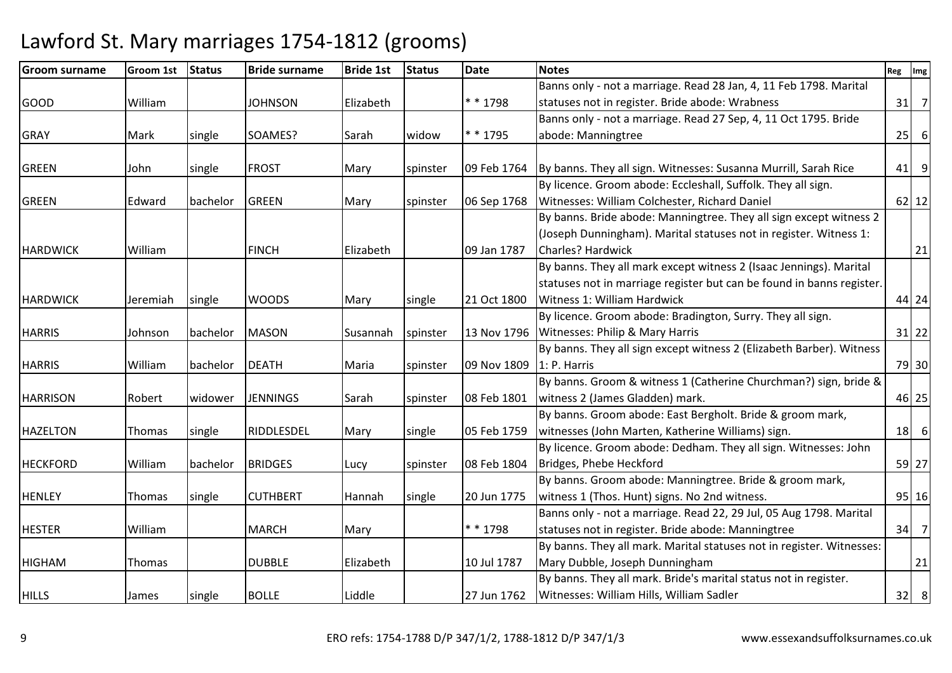| <b>Groom surname</b> | <b>Groom 1st</b> | <b>Status</b> | <b>Bride surname</b> | <b>Bride 1st</b> | <b>Status</b> | <b>Date</b> | <b>Notes</b>                                                          | Reg | Img            |
|----------------------|------------------|---------------|----------------------|------------------|---------------|-------------|-----------------------------------------------------------------------|-----|----------------|
|                      |                  |               |                      |                  |               |             | Banns only - not a marriage. Read 28 Jan, 4, 11 Feb 1798. Marital     |     |                |
| <b>GOOD</b>          | William          |               | <b>JOHNSON</b>       | Elizabeth        |               | * * 1798    | statuses not in register. Bride abode: Wrabness                       | 31  | $\overline{7}$ |
|                      |                  |               |                      |                  |               |             | Banns only - not a marriage. Read 27 Sep, 4, 11 Oct 1795. Bride       |     |                |
| <b>GRAY</b>          | Mark             | single        | SOAMES?              | Sarah            | widow         | * * 1795    | abode: Manningtree                                                    | 25  | $\sqrt{6}$     |
|                      |                  |               |                      |                  |               |             |                                                                       |     |                |
| <b>GREEN</b>         | John             | single        | <b>FROST</b>         | Mary             | spinster      | 09 Feb 1764 | By banns. They all sign. Witnesses: Susanna Murrill, Sarah Rice       | 41  | 9              |
|                      |                  |               |                      |                  |               |             | By licence. Groom abode: Eccleshall, Suffolk. They all sign.          |     |                |
| <b>GREEN</b>         | Edward           | bachelor      | <b>GREEN</b>         | Mary             | spinster      | 06 Sep 1768 | Witnesses: William Colchester, Richard Daniel                         |     | $62$   12      |
|                      |                  |               |                      |                  |               |             | By banns. Bride abode: Manningtree. They all sign except witness 2    |     |                |
|                      |                  |               |                      |                  |               |             | (Joseph Dunningham). Marital statuses not in register. Witness 1:     |     |                |
| <b>HARDWICK</b>      | William          |               | <b>FINCH</b>         | Elizabeth        |               | 09 Jan 1787 | <b>Charles? Hardwick</b>                                              |     | 21             |
|                      |                  |               |                      |                  |               |             | By banns. They all mark except witness 2 (Isaac Jennings). Marital    |     |                |
|                      |                  |               |                      |                  |               |             | statuses not in marriage register but can be found in banns register. |     |                |
| <b>HARDWICK</b>      | Jeremiah         | single        | <b>WOODS</b>         | Mary             | single        | 21 Oct 1800 | Witness 1: William Hardwick                                           |     | 44 24          |
|                      |                  |               |                      |                  |               |             | By licence. Groom abode: Bradington, Surry. They all sign.            |     |                |
| <b>HARRIS</b>        | Johnson          | bachelor      | <b>MASON</b>         | Susannah         | spinster      | 13 Nov 1796 | Witnesses: Philip & Mary Harris                                       |     | $31$ 22        |
|                      |                  |               |                      |                  |               |             | By banns. They all sign except witness 2 (Elizabeth Barber). Witness  |     |                |
| <b>HARRIS</b>        | William          | bachelor      | <b>DEATH</b>         | Maria            | spinster      | 09 Nov 1809 | 1: P. Harris                                                          |     | 79 30          |
|                      |                  |               |                      |                  |               |             | By banns. Groom & witness 1 (Catherine Churchman?) sign, bride &      |     |                |
| <b>HARRISON</b>      | Robert           | widower       | <b>JENNINGS</b>      | Sarah            | spinster      | 08 Feb 1801 | witness 2 (James Gladden) mark.                                       |     | 46 25          |
|                      |                  |               |                      |                  |               |             | By banns. Groom abode: East Bergholt. Bride & groom mark,             |     |                |
| <b>HAZELTON</b>      | Thomas           | single        | RIDDLESDEL           | Mary             | single        | 05 Feb 1759 | witnesses (John Marten, Katherine Williams) sign.                     | 18  | $6 \mid$       |
|                      |                  |               |                      |                  |               |             | By licence. Groom abode: Dedham. They all sign. Witnesses: John       |     |                |
| <b>HECKFORD</b>      | William          | bachelor      | <b>BRIDGES</b>       | Lucy             | spinster      | 08 Feb 1804 | Bridges, Phebe Heckford                                               |     | 59 27          |
|                      |                  |               |                      |                  |               |             | By banns. Groom abode: Manningtree. Bride & groom mark,               |     |                |
| <b>HENLEY</b>        | Thomas           | single        | <b>CUTHBERT</b>      | Hannah           | single        | 20 Jun 1775 | witness 1 (Thos. Hunt) signs. No 2nd witness.                         |     | $95$   16      |
|                      |                  |               |                      |                  |               |             | Banns only - not a marriage. Read 22, 29 Jul, 05 Aug 1798. Marital    |     |                |
| <b>HESTER</b>        | William          |               | <b>MARCH</b>         | Mary             |               | * * 1798    | statuses not in register. Bride abode: Manningtree                    | 34  | $\overline{7}$ |
|                      |                  |               |                      |                  |               |             | By banns. They all mark. Marital statuses not in register. Witnesses: |     |                |
| <b>HIGHAM</b>        | Thomas           |               | <b>DUBBLE</b>        | Elizabeth        |               | 10 Jul 1787 | Mary Dubble, Joseph Dunningham                                        |     | 21             |
|                      |                  |               |                      |                  |               |             | By banns. They all mark. Bride's marital status not in register.      |     |                |
| <b>HILLS</b>         | James            | single        | <b>BOLLE</b>         | Liddle           |               | 27 Jun 1762 | Witnesses: William Hills, William Sadler                              |     | $32 \mid 8$    |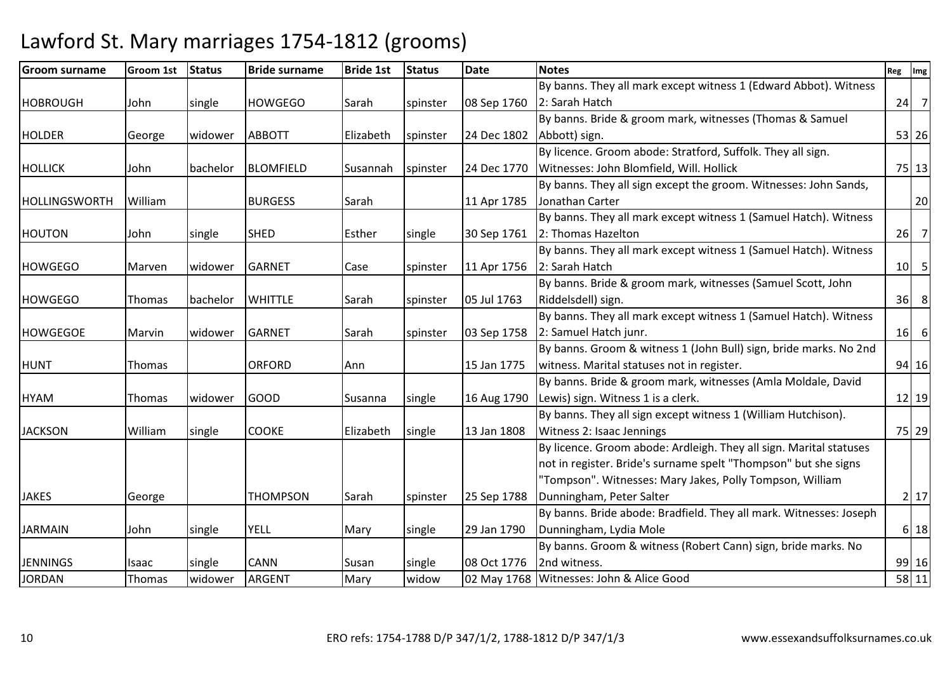| <b>Groom surname</b> | <b>Groom 1st</b> | <b>Status</b> | <b>Bride surname</b> | <b>Bride 1st</b> | <b>Status</b> | <b>Date</b> | <b>Notes</b>                                                       | Reg | Img            |
|----------------------|------------------|---------------|----------------------|------------------|---------------|-------------|--------------------------------------------------------------------|-----|----------------|
|                      |                  |               |                      |                  |               |             | By banns. They all mark except witness 1 (Edward Abbot). Witness   |     |                |
| <b>HOBROUGH</b>      | John             | single        | <b>HOWGEGO</b>       | Sarah            | spinster      | 08 Sep 1760 | 2: Sarah Hatch                                                     | 24  | $\overline{7}$ |
|                      |                  |               |                      |                  |               |             | By banns. Bride & groom mark, witnesses (Thomas & Samuel           |     |                |
| <b>HOLDER</b>        | George           | lwidower      | <b>ABBOTT</b>        | Elizabeth        | spinster      | 24 Dec 1802 | Abbott) sign.                                                      |     | 53 26          |
|                      |                  |               |                      |                  |               |             | By licence. Groom abode: Stratford, Suffolk. They all sign.        |     |                |
| <b>HOLLICK</b>       | John             | bachelor      | <b>BLOMFIELD</b>     | Susannah         | spinster      | 24 Dec 1770 | Witnesses: John Blomfield, Will. Hollick                           |     | $75$   13      |
|                      |                  |               |                      |                  |               |             | By banns. They all sign except the groom. Witnesses: John Sands,   |     |                |
| <b>HOLLINGSWORTH</b> | William          |               | <b>BURGESS</b>       | Sarah            |               | 11 Apr 1785 | Jonathan Carter                                                    |     | 20             |
|                      |                  |               |                      |                  |               |             | By banns. They all mark except witness 1 (Samuel Hatch). Witness   |     |                |
| HOUTON               | John             | single        | <b>SHED</b>          | Esther           | single        | 30 Sep 1761 | 2: Thomas Hazelton                                                 | 26  | $\overline{7}$ |
|                      |                  |               |                      |                  |               |             | By banns. They all mark except witness 1 (Samuel Hatch). Witness   |     |                |
| <b>HOWGEGO</b>       | Marven           | widower       | <b>GARNET</b>        | Case             | spinster      | 11 Apr 1756 | 2: Sarah Hatch                                                     |     | $10$ 5         |
|                      |                  |               |                      |                  |               |             | By banns. Bride & groom mark, witnesses (Samuel Scott, John        |     |                |
| <b>HOWGEGO</b>       | Thomas           | bachelor      | <b>WHITTLE</b>       | Sarah            | spinster      | 05 Jul 1763 | Riddelsdell) sign.                                                 | 36  | 8              |
|                      |                  |               |                      |                  |               |             | By banns. They all mark except witness 1 (Samuel Hatch). Witness   |     |                |
| <b>HOWGEGOE</b>      | Marvin           | widower       | <b>GARNET</b>        | Sarah            | spinster      | 03 Sep 1758 | 2: Samuel Hatch junr.                                              | 16  | 6              |
|                      |                  |               |                      |                  |               |             | By banns. Groom & witness 1 (John Bull) sign, bride marks. No 2nd  |     |                |
| <b>HUNT</b>          | Thomas           |               | <b>ORFORD</b>        | Ann              |               | 15 Jan 1775 | witness. Marital statuses not in register.                         |     | 94 16          |
|                      |                  |               |                      |                  |               |             | By banns. Bride & groom mark, witnesses (Amla Moldale, David       |     |                |
| <b>HYAM</b>          | Thomas           | widower       | <b>GOOD</b>          | Susanna          | single        | 16 Aug 1790 | Lewis) sign. Witness 1 is a clerk.                                 |     | $12$   19      |
|                      |                  |               |                      |                  |               |             | By banns. They all sign except witness 1 (William Hutchison).      |     |                |
| <b>JACKSON</b>       | William          | single        | COOKE                | Elizabeth        | single        | 13 Jan 1808 | Witness 2: Isaac Jennings                                          |     | 75 29          |
|                      |                  |               |                      |                  |               |             | By licence. Groom abode: Ardleigh. They all sign. Marital statuses |     |                |
|                      |                  |               |                      |                  |               |             | not in register. Bride's surname spelt "Thompson" but she signs    |     |                |
|                      |                  |               |                      |                  |               |             | "Tompson". Witnesses: Mary Jakes, Polly Tompson, William           |     |                |
| <b>JAKES</b>         | George           |               | <b>THOMPSON</b>      | <b>S</b> arah    | spinster      | 25 Sep 1788 | Dunningham, Peter Salter                                           |     | 2 17           |
|                      |                  |               |                      |                  |               |             | By banns. Bride abode: Bradfield. They all mark. Witnesses: Joseph |     |                |
| <b>JARMAIN</b>       | John             | single        | <b>YELL</b>          | Mary             | single        | 29 Jan 1790 | Dunningham, Lydia Mole                                             |     | 6 18           |
|                      |                  |               |                      |                  |               |             | By banns. Groom & witness (Robert Cann) sign, bride marks. No      |     |                |
| <b>JENNINGS</b>      | Isaac            | single        | <b>CANN</b>          | Susan            | single        | 08 Oct 1776 | 2nd witness.                                                       |     | 99 16          |
| <b>JORDAN</b>        | Thomas           | widower       | ARGENT               | Mary             | widow         | 02 May 1768 | Witnesses: John & Alice Good                                       |     | 58 11          |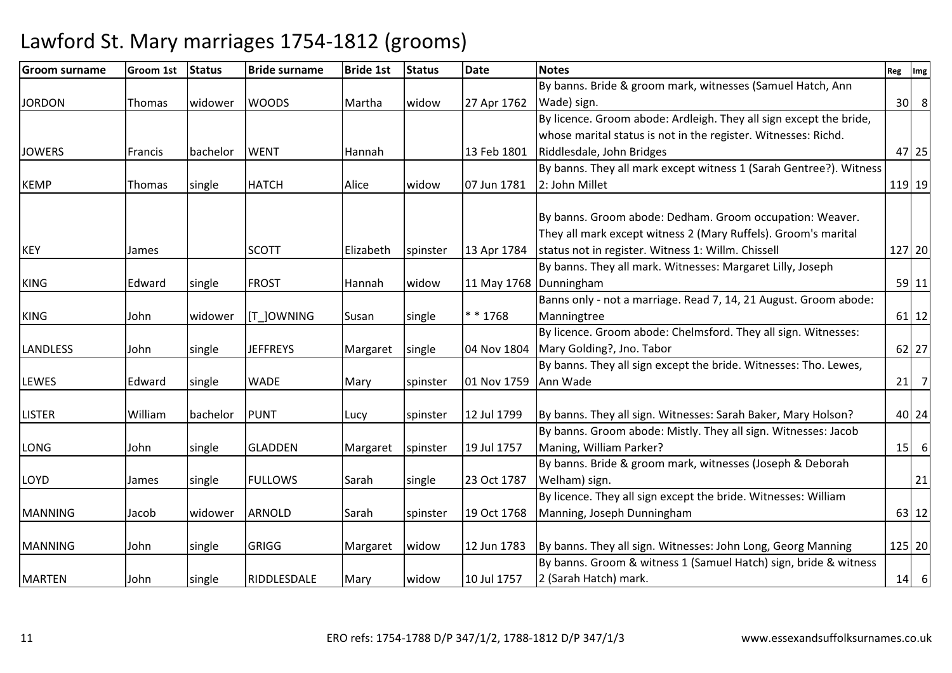| <b>Groom surname</b> | Groom 1st | <b>Status</b> | <b>Bride surname</b> | <b>Bride 1st</b> | <b>Status</b> | <b>Date</b>          | <b>Notes</b>                                                       | Reg    | Img            |
|----------------------|-----------|---------------|----------------------|------------------|---------------|----------------------|--------------------------------------------------------------------|--------|----------------|
|                      |           |               |                      |                  |               |                      | By banns. Bride & groom mark, witnesses (Samuel Hatch, Ann         |        |                |
| <b>JORDON</b>        | Thomas    | widower       | <b>WOODS</b>         | Martha           | widow         | 27 Apr 1762          | Wade) sign.                                                        | 30     | 8 <sup>°</sup> |
|                      |           |               |                      |                  |               |                      | By licence. Groom abode: Ardleigh. They all sign except the bride, |        |                |
|                      |           |               |                      |                  |               |                      | whose marital status is not in the register. Witnesses: Richd.     |        |                |
| <b>JOWERS</b>        | Francis   | bachelor      | <b>WENT</b>          | Hannah           |               | 13 Feb 1801          | Riddlesdale, John Bridges                                          |        | 47 25          |
|                      |           |               |                      |                  |               |                      | By banns. They all mark except witness 1 (Sarah Gentree?). Witness |        |                |
| <b>KEMP</b>          | Thomas    | single        | <b>HATCH</b>         | Alice            | widow         | 07 Jun 1781          | 2: John Millet                                                     | 119 19 |                |
|                      |           |               |                      |                  |               |                      |                                                                    |        |                |
|                      |           |               |                      |                  |               |                      | By banns. Groom abode: Dedham. Groom occupation: Weaver.           |        |                |
|                      |           |               |                      |                  |               |                      | They all mark except witness 2 (Mary Ruffels). Groom's marital     |        |                |
| <b>KEY</b>           | James     |               | <b>SCOTT</b>         | Elizabeth        | spinster      | 13 Apr 1784          | status not in register. Witness 1: Willm. Chissell                 | 127 20 |                |
|                      |           |               |                      |                  |               |                      | By banns. They all mark. Witnesses: Margaret Lilly, Joseph         |        |                |
| <b>KING</b>          | Edward    | single        | <b>FROST</b>         | Hannah           | widow         |                      | 11 May 1768   Dunningham                                           |        | 59 11          |
|                      |           |               |                      |                  |               |                      | Banns only - not a marriage. Read 7, 14, 21 August. Groom abode:   |        |                |
| <b>KING</b>          | John      | widower       | [T_]OWNING           | Susan            | single        | * * 1768             | Manningtree                                                        |        | $61$   12      |
|                      |           |               |                      |                  |               |                      | By licence. Groom abode: Chelmsford. They all sign. Witnesses:     |        |                |
| <b>LANDLESS</b>      | John      | single        | <b>JEFFREYS</b>      | Margaret         | single        | 04 Nov 1804          | Mary Golding?, Jno. Tabor                                          |        | 62 27          |
|                      |           |               |                      |                  |               |                      | By banns. They all sign except the bride. Witnesses: Tho. Lewes,   |        |                |
| <b>LEWES</b>         | Edward    | single        | <b>WADE</b>          | Mary             | spinster      | 01 Nov 1759 Ann Wade |                                                                    | 21     | $\overline{7}$ |
|                      |           |               |                      |                  |               |                      |                                                                    |        |                |
| <b>LISTER</b>        | William   | bachelor      | <b>PUNT</b>          | Lucy             | spinster      | 12 Jul 1799          | By banns. They all sign. Witnesses: Sarah Baker, Mary Holson?      |        | 40 24          |
|                      |           |               |                      |                  |               |                      | By banns. Groom abode: Mistly. They all sign. Witnesses: Jacob     |        |                |
| LONG                 | John      | single        | <b>GLADDEN</b>       | Margaret         | spinster      | 19 Jul 1757          | Maning, William Parker?                                            | 15     | 6              |
|                      |           |               |                      |                  |               |                      | By banns. Bride & groom mark, witnesses (Joseph & Deborah          |        |                |
| LOYD                 | James     | single        | <b>FULLOWS</b>       | Sarah            | single        | 23 Oct 1787          | Welham) sign.                                                      |        | 21             |
|                      |           |               |                      |                  |               |                      | By licence. They all sign except the bride. Witnesses: William     |        |                |
| <b>MANNING</b>       | Jacob     | widower       | <b>ARNOLD</b>        | Sarah            | spinster      | 19 Oct 1768          | Manning, Joseph Dunningham                                         |        | 63 12          |
|                      |           |               |                      |                  |               |                      |                                                                    |        |                |
| <b>MANNING</b>       | John      | single        | <b>GRIGG</b>         | Margaret         | widow         | 12 Jun 1783          | By banns. They all sign. Witnesses: John Long, Georg Manning       |        | 125 20         |
|                      |           |               |                      |                  |               |                      | By banns. Groom & witness 1 (Samuel Hatch) sign, bride & witness   |        |                |
| <b>MARTEN</b>        | John      | single        | RIDDLESDALE          | Mary             | widow         | 10 Jul 1757          | 2 (Sarah Hatch) mark.                                              |        | $14 \mid 6$    |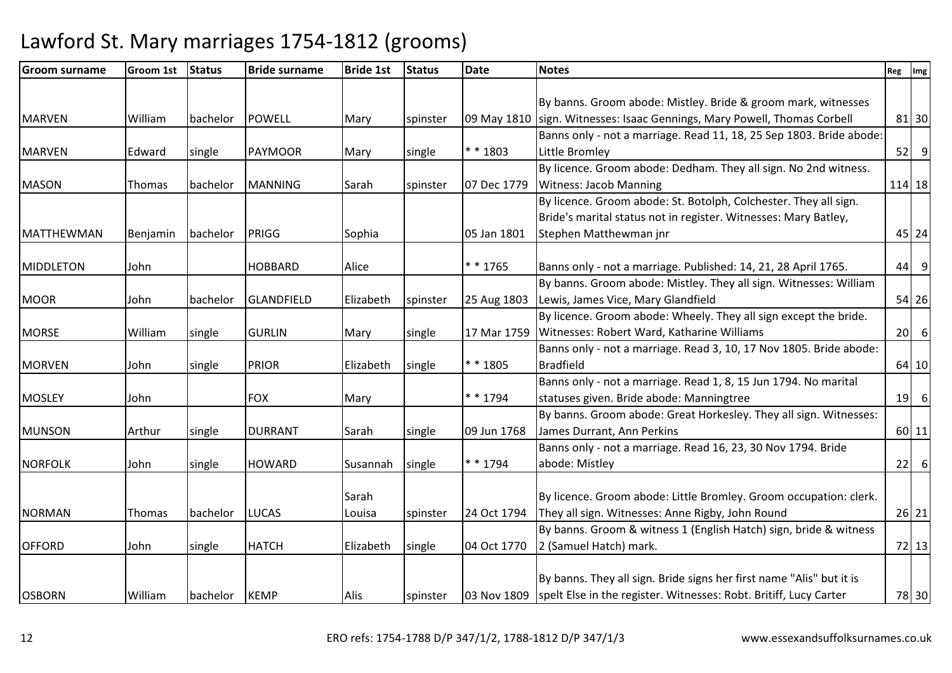| <b>Groom surname</b> | Groom 1st | <b>Status</b> | <b>Bride surname</b> | <b>Bride 1st</b> | <b>Status</b> | <b>Date</b> | <b>Notes</b>                                                                    | Reg | Img       |
|----------------------|-----------|---------------|----------------------|------------------|---------------|-------------|---------------------------------------------------------------------------------|-----|-----------|
|                      |           |               |                      |                  |               |             |                                                                                 |     |           |
|                      |           |               |                      |                  |               |             | By banns. Groom abode: Mistley. Bride & groom mark, witnesses                   |     |           |
| <b>MARVEN</b>        | William   | bachelor      | <b>POWELL</b>        | Mary             | spinster      | 09 May 1810 | sign. Witnesses: Isaac Gennings, Mary Powell, Thomas Corbell                    |     | 81 30     |
|                      |           |               |                      |                  |               |             | Banns only - not a marriage. Read 11, 18, 25 Sep 1803. Bride abode:             |     |           |
| <b>MARVEN</b>        | Edward    | single        | <b>PAYMOOR</b>       | Mary             | single        | * * 1803    | Little Bromley                                                                  |     | 52<br>9   |
|                      |           |               |                      |                  |               |             | By licence. Groom abode: Dedham. They all sign. No 2nd witness.                 |     |           |
| <b>MASON</b>         | Thomas    | bachelor      | <b>MANNING</b>       | Sarah            | spinster      | 07 Dec 1779 | <b>Witness: Jacob Manning</b>                                                   |     | 114 18    |
|                      |           |               |                      |                  |               |             | By licence. Groom abode: St. Botolph, Colchester. They all sign.                |     |           |
|                      |           |               |                      |                  |               |             | Bride's marital status not in register. Witnesses: Mary Batley,                 |     |           |
| <b>MATTHEWMAN</b>    | Benjamin  | bachelor      | PRIGG                | Sophia           |               | 05 Jan 1801 | Stephen Matthewman jnr                                                          |     | 45 24     |
|                      |           |               |                      |                  |               |             |                                                                                 |     |           |
| MIDDLETON            | John      |               | <b>HOBBARD</b>       | Alice            |               | * * 1765    | Banns only - not a marriage. Published: 14, 21, 28 April 1765.                  | 44  | 9         |
|                      |           |               |                      |                  |               |             | By banns. Groom abode: Mistley. They all sign. Witnesses: William               |     |           |
| <b>MOOR</b>          | John      | bachelor      | <b>GLANDFIELD</b>    | Elizabeth        | spinster      | 25 Aug 1803 | Lewis, James Vice, Mary Glandfield                                              |     | 54 26     |
|                      |           |               |                      |                  |               |             | By licence. Groom abode: Wheely. They all sign except the bride.                |     |           |
| <b>MORSE</b>         | William   | single        | <b>GURLIN</b>        | Mary             | single        | 17 Mar 1759 | Witnesses: Robert Ward, Katharine Williams                                      | 20  | 6         |
|                      |           |               |                      |                  |               |             | Banns only - not a marriage. Read 3, 10, 17 Nov 1805. Bride abode:              |     |           |
| <b>MORVEN</b>        | John      | single        | <b>PRIOR</b>         | Elizabeth        | single        | $* * 1805$  | <b>Bradfield</b>                                                                |     | 64 10     |
|                      |           |               |                      |                  |               |             | Banns only - not a marriage. Read 1, 8, 15 Jun 1794. No marital                 |     |           |
| <b>MOSLEY</b>        | John      |               | <b>FOX</b>           | Mary             |               | $* * 1794$  | statuses given. Bride abode: Manningtree                                        | 19  | 6         |
|                      |           |               |                      |                  |               |             | By banns. Groom abode: Great Horkesley. They all sign. Witnesses:               |     |           |
| <b>MUNSON</b>        | Arthur    | single        | <b>DURRANT</b>       | Sarah            | single        | 09 Jun 1768 | James Durrant, Ann Perkins                                                      |     | $60$   11 |
|                      |           |               |                      |                  |               |             | Banns only - not a marriage. Read 16, 23, 30 Nov 1794. Bride                    |     |           |
| <b>NORFOLK</b>       | John      | single        | <b>HOWARD</b>        | Susannah         | single        | $* * 1794$  | abode: Mistley                                                                  | 22  | 6         |
|                      |           |               |                      |                  |               |             |                                                                                 |     |           |
|                      |           |               |                      | Sarah            |               |             | By licence. Groom abode: Little Bromley. Groom occupation: clerk.               |     |           |
| <b>NORMAN</b>        | Thomas    | bachelor      | <b>LUCAS</b>         | Louisa           | spinster      | 24 Oct 1794 | They all sign. Witnesses: Anne Rigby, John Round                                |     | 26 21     |
|                      |           |               |                      |                  |               |             | By banns. Groom & witness 1 (English Hatch) sign, bride & witness               |     |           |
| <b>OFFORD</b>        | John      | single        | <b>HATCH</b>         | Elizabeth        | single        | 04 Oct 1770 | 2 (Samuel Hatch) mark.                                                          |     | 72 13     |
|                      |           |               |                      |                  |               |             |                                                                                 |     |           |
|                      |           |               |                      |                  |               |             | By banns. They all sign. Bride signs her first name "Alis" but it is            |     |           |
| <b>OSBORN</b>        | William   | bachelor      | <b>KEMP</b>          | <b>Alis</b>      | spinster      |             | 03 Nov 1809   spelt Else in the register. Witnesses: Robt. Britiff, Lucy Carter |     | 78 30     |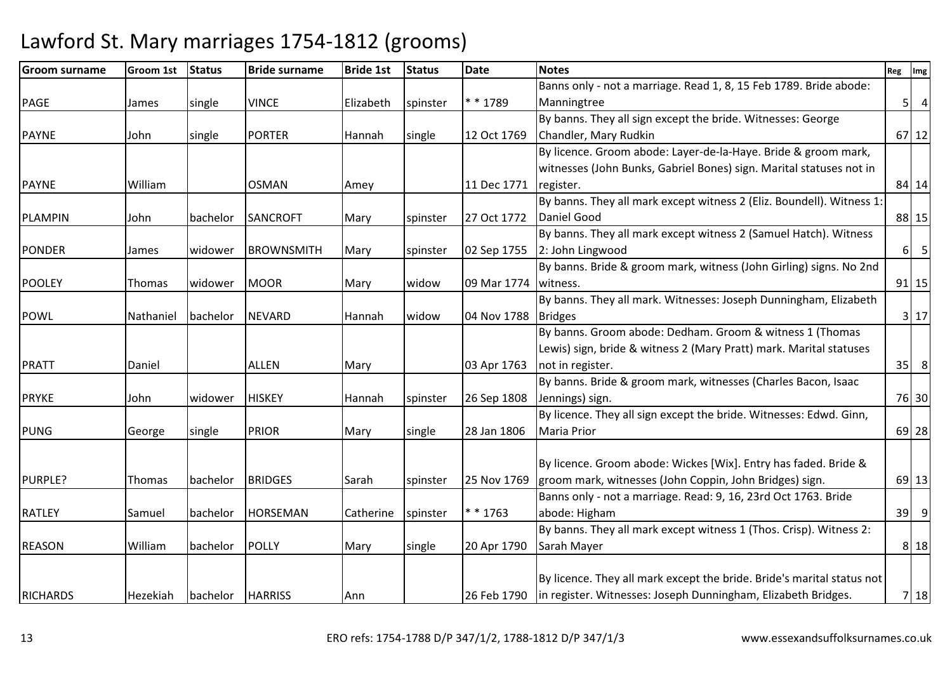| <b>Groom surname</b> | Groom 1st | <b>Status</b> | <b>Bride surname</b> | <b>Bride 1st</b> | <b>Status</b> | <b>Date</b> | <b>Notes</b>                                                                | Reg      | Img             |
|----------------------|-----------|---------------|----------------------|------------------|---------------|-------------|-----------------------------------------------------------------------------|----------|-----------------|
|                      |           |               |                      |                  |               |             | Banns only - not a marriage. Read 1, 8, 15 Feb 1789. Bride abode:           |          |                 |
| PAGE                 | James     | single        | <b>VINCE</b>         | Elizabeth        | spinster      | * * 1789    | Manningtree                                                                 | 5        | $\overline{4}$  |
|                      |           |               |                      |                  |               |             | By banns. They all sign except the bride. Witnesses: George                 |          |                 |
| <b>PAYNE</b>         | John      | single        | <b>PORTER</b>        | Hannah           | single        | 12 Oct 1769 | Chandler, Mary Rudkin                                                       |          | 67 12           |
|                      |           |               |                      |                  |               |             | By licence. Groom abode: Layer-de-la-Haye. Bride & groom mark,              |          |                 |
|                      |           |               |                      |                  |               |             | witnesses (John Bunks, Gabriel Bones) sign. Marital statuses not in         |          |                 |
| <b>PAYNE</b>         | William   |               | <b>OSMAN</b>         | Amey             |               | 11 Dec 1771 | register.                                                                   |          | 84 14           |
|                      |           |               |                      |                  |               |             | By banns. They all mark except witness 2 (Eliz. Boundell). Witness 1:       |          |                 |
| <b>PLAMPIN</b>       | John      | bachelor      | <b>SANCROFT</b>      | Mary             | spinster      | 27 Oct 1772 | Daniel Good                                                                 |          | 88 15           |
|                      |           |               |                      |                  |               |             | By banns. They all mark except witness 2 (Samuel Hatch). Witness            |          |                 |
| <b>PONDER</b>        | James     | widower       | <b>BROWNSMITH</b>    | Mary             | spinster      | 02 Sep 1755 | 2: John Lingwood                                                            | $6 \mid$ | $5\overline{)}$ |
|                      |           |               |                      |                  |               |             | By banns. Bride & groom mark, witness (John Girling) signs. No 2nd          |          |                 |
| <b>POOLEY</b>        | Thomas    | widower       | <b>MOOR</b>          | Mary             | widow         | 09 Mar 1774 | witness.                                                                    |          | $91$ 15         |
|                      |           |               |                      |                  |               |             | By banns. They all mark. Witnesses: Joseph Dunningham, Elizabeth            |          |                 |
| <b>POWL</b>          | Nathaniel | bachelor      | <b>NEVARD</b>        | Hannah           | widow         | 04 Nov 1788 | <b>Bridges</b>                                                              |          | 3 17            |
|                      |           |               |                      |                  |               |             | By banns. Groom abode: Dedham. Groom & witness 1 (Thomas                    |          |                 |
|                      |           |               |                      |                  |               |             | Lewis) sign, bride & witness 2 (Mary Pratt) mark. Marital statuses          |          |                 |
| <b>PRATT</b>         | Daniel    |               | <b>ALLEN</b>         | Mary             |               | 03 Apr 1763 | not in register.                                                            | 35       | 8               |
|                      |           |               |                      |                  |               |             | By banns. Bride & groom mark, witnesses (Charles Bacon, Isaac               |          |                 |
| <b>PRYKE</b>         | John      | widower       | <b>HISKEY</b>        | Hannah           | spinster      | 26 Sep 1808 | Jennings) sign.                                                             |          | 76 30           |
|                      |           |               |                      |                  |               |             | By licence. They all sign except the bride. Witnesses: Edwd. Ginn,          |          |                 |
| <b>PUNG</b>          | George    | single        | <b>PRIOR</b>         | Mary             | single        | 28 Jan 1806 | <b>Maria Prior</b>                                                          |          | 69 28           |
|                      |           |               |                      |                  |               |             |                                                                             |          |                 |
|                      |           |               |                      |                  |               |             | By licence. Groom abode: Wickes [Wix]. Entry has faded. Bride &             |          |                 |
| PURPLE?              | Thomas    | bachelor      | <b>BRIDGES</b>       | Sarah            | spinster      | 25 Nov 1769 | groom mark, witnesses (John Coppin, John Bridges) sign.                     |          | $69$   13       |
|                      |           |               |                      |                  |               |             | Banns only - not a marriage. Read: 9, 16, 23rd Oct 1763. Bride              |          |                 |
| <b>RATLEY</b>        | Samuel    | bachelor      | <b>HORSEMAN</b>      | Catherine        | spinster      | * * 1763    | abode: Higham                                                               | 39       | $\overline{9}$  |
|                      |           |               |                      |                  |               |             | By banns. They all mark except witness 1 (Thos. Crisp). Witness 2:          |          |                 |
| <b>REASON</b>        | William   | bachelor      | <b>POLLY</b>         | Mary             | single        | 20 Apr 1790 | Sarah Mayer                                                                 |          | 8 18            |
|                      |           |               |                      |                  |               |             |                                                                             |          |                 |
|                      |           |               |                      |                  |               |             | By licence. They all mark except the bride. Bride's marital status not      |          |                 |
| <b>RICHARDS</b>      | Hezekiah  | bachelor      | <b>HARRISS</b>       | Ann              |               |             | 26 Feb 1790   in register. Witnesses: Joseph Dunningham, Elizabeth Bridges. |          | 7 18            |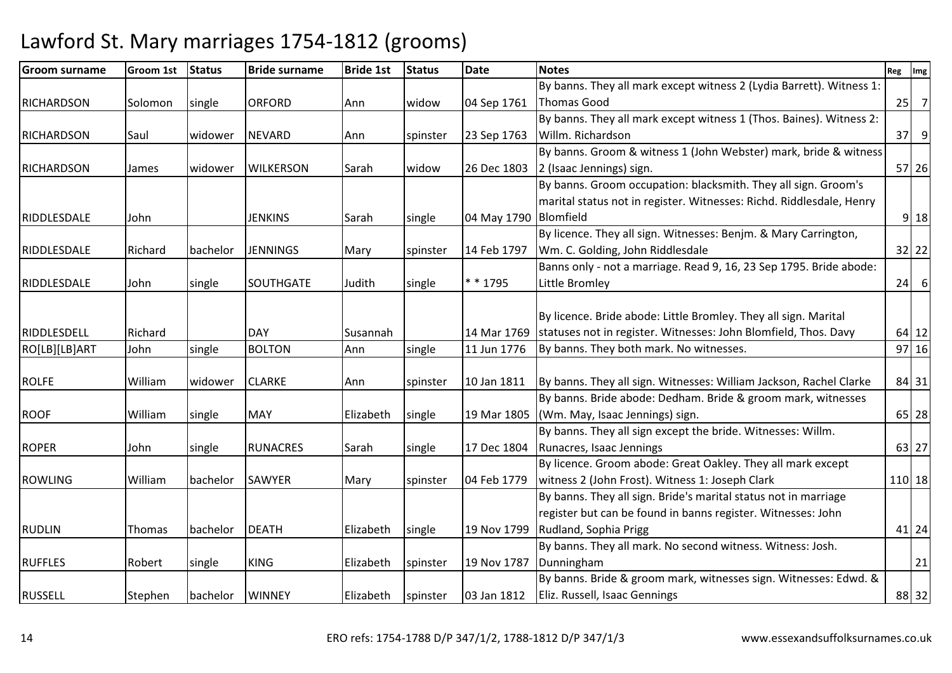| <b>Groom surname</b> | <b>Groom 1st</b> | Status   | <b>Bride surname</b> | <b>Bride 1st</b> | <b>Status</b> | <b>Date</b>           | <b>Notes</b>                                                         | Reg | Img            |
|----------------------|------------------|----------|----------------------|------------------|---------------|-----------------------|----------------------------------------------------------------------|-----|----------------|
|                      |                  |          |                      |                  |               |                       | By banns. They all mark except witness 2 (Lydia Barrett). Witness 1: |     |                |
| <b>RICHARDSON</b>    | Solomon          | single   | <b>ORFORD</b>        | Ann              | widow         | 04 Sep 1761           | Thomas Good                                                          | 25  | $\overline{7}$ |
|                      |                  |          |                      |                  |               |                       | By banns. They all mark except witness 1 (Thos. Baines). Witness 2:  |     |                |
| <b>RICHARDSON</b>    | Saul             | widower  | <b>NEVARD</b>        | Ann              | spinster      | 23 Sep 1763           | Willm. Richardson                                                    |     | $37$ $9$       |
|                      |                  |          |                      |                  |               |                       | By banns. Groom & witness 1 (John Webster) mark, bride & witness     |     |                |
| <b>RICHARDSON</b>    | James            | widower  | <b>WILKERSON</b>     | Sarah            | widow         | 26 Dec 1803           | 2 (Isaac Jennings) sign.                                             |     | 57 26          |
|                      |                  |          |                      |                  |               |                       | By banns. Groom occupation: blacksmith. They all sign. Groom's       |     |                |
|                      |                  |          |                      |                  |               |                       | marital status not in register. Witnesses: Richd. Riddlesdale, Henry |     |                |
| RIDDLESDALE          | John             |          | <b>JENKINS</b>       | Sarah            | single        | 04 May 1790 Blomfield |                                                                      |     | $9$ 18         |
|                      |                  |          |                      |                  |               |                       | By licence. They all sign. Witnesses: Benjm. & Mary Carrington,      |     |                |
| RIDDLESDALE          | Richard          | bachelor | <b>JENNINGS</b>      | Mary             | spinster      | 14 Feb 1797           | Wm. C. Golding, John Riddlesdale                                     |     | 32 22          |
|                      |                  |          |                      |                  |               |                       | Banns only - not a marriage. Read 9, 16, 23 Sep 1795. Bride abode:   |     |                |
| RIDDLESDALE          | John             | single   | <b>SOUTHGATE</b>     | Judith           | single        | * * 1795              | Little Bromley                                                       | 24  | 6              |
|                      |                  |          |                      |                  |               |                       |                                                                      |     |                |
|                      |                  |          |                      |                  |               |                       | By licence. Bride abode: Little Bromley. They all sign. Marital      |     |                |
| RIDDLESDELL          | Richard          |          | <b>DAY</b>           | Susannah         |               | 14 Mar 1769           | statuses not in register. Witnesses: John Blomfield, Thos. Davy      |     | 64 12          |
| RO[LB][LB]ART        | John             | single   | <b>BOLTON</b>        | Ann              | single        | 11 Jun 1776           | By banns. They both mark. No witnesses.                              |     | $97$ 16        |
|                      |                  |          |                      |                  |               |                       |                                                                      |     |                |
| <b>ROLFE</b>         | William          | widower  | <b>CLARKE</b>        | Ann              | spinster      | 10 Jan 1811           | By banns. They all sign. Witnesses: William Jackson, Rachel Clarke   |     | 84 31          |
|                      |                  |          |                      |                  |               |                       | By banns. Bride abode: Dedham. Bride & groom mark, witnesses         |     |                |
| <b>ROOF</b>          | William          | single   | <b>MAY</b>           | Elizabeth        | single        | 19 Mar 1805           | (Wm. May, Isaac Jennings) sign.                                      |     | 65 28          |
|                      |                  |          |                      |                  |               |                       | By banns. They all sign except the bride. Witnesses: Willm.          |     |                |
| <b>ROPER</b>         | John             | single   | <b>RUNACRES</b>      | Sarah            | single        | 17 Dec 1804           | Runacres, Isaac Jennings                                             |     | 63 27          |
|                      |                  |          |                      |                  |               |                       | By licence. Groom abode: Great Oakley. They all mark except          |     |                |
| <b>ROWLING</b>       | William          | bachelor | SAWYER               | Mary             | spinster      | 04 Feb 1779           | witness 2 (John Frost). Witness 1: Joseph Clark                      |     | 110 18         |
|                      |                  |          |                      |                  |               |                       | By banns. They all sign. Bride's marital status not in marriage      |     |                |
|                      |                  |          |                      |                  |               |                       | register but can be found in banns register. Witnesses: John         |     |                |
| <b>RUDLIN</b>        | Thomas           | bachelor | <b>DEATH</b>         | Elizabeth        | single        | 19 Nov 1799           | Rudland, Sophia Prigg                                                |     | 41 24          |
|                      |                  |          |                      |                  |               |                       | By banns. They all mark. No second witness. Witness: Josh.           |     |                |
| <b>RUFFLES</b>       | Robert           | single   | <b>KING</b>          | Elizabeth        | spinster      | 19 Nov 1787           | Dunningham                                                           |     | 21             |
|                      |                  |          |                      |                  |               |                       | By banns. Bride & groom mark, witnesses sign. Witnesses: Edwd. &     |     |                |
| <b>RUSSELL</b>       | Stephen          | bachelor | <b>WINNEY</b>        | Elizabeth        | spinster      | 03 Jan 1812           | Eliz. Russell, Isaac Gennings                                        |     | 88 32          |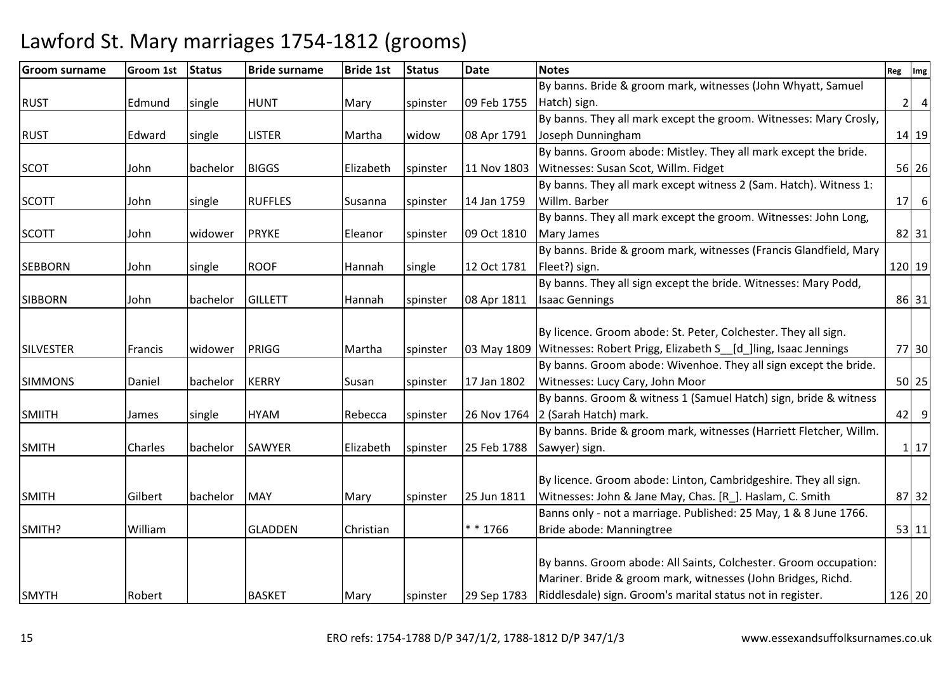| <b>Groom surname</b> | Groom 1st | <b>Status</b> | <b>Bride surname</b> | <b>Bride 1st</b> | <b>Status</b> | <b>Date</b> | <b>Notes</b>                                                               | Reg | Img            |
|----------------------|-----------|---------------|----------------------|------------------|---------------|-------------|----------------------------------------------------------------------------|-----|----------------|
|                      |           |               |                      |                  |               |             | By banns. Bride & groom mark, witnesses (John Whyatt, Samuel               |     |                |
| <b>RUST</b>          | Edmund    | single        | <b>HUNT</b>          | Mary             | spinster      | 09 Feb 1755 | Hatch) sign.                                                               | 2   | $\overline{4}$ |
|                      |           |               |                      |                  |               |             | By banns. They all mark except the groom. Witnesses: Mary Crosly,          |     |                |
| <b>RUST</b>          | Edward    | single        | <b>LISTER</b>        | Martha           | widow         | 08 Apr 1791 | Joseph Dunningham                                                          |     | $14$ 19        |
|                      |           |               |                      |                  |               |             | By banns. Groom abode: Mistley. They all mark except the bride.            |     |                |
| <b>SCOT</b>          | John      | bachelor      | <b>BIGGS</b>         | Elizabeth        | spinster      | 11 Nov 1803 | Witnesses: Susan Scot, Willm. Fidget                                       |     | 56 26          |
|                      |           |               |                      |                  |               |             | By banns. They all mark except witness 2 (Sam. Hatch). Witness 1:          |     |                |
| <b>SCOTT</b>         | John      | single        | <b>RUFFLES</b>       | Susanna          | spinster      | 14 Jan 1759 | Willm. Barber                                                              | 17  | 6              |
|                      |           |               |                      |                  |               |             | By banns. They all mark except the groom. Witnesses: John Long,            |     |                |
| <b>SCOTT</b>         | John      | widower       | <b>PRYKE</b>         | Eleanor          | spinster      | 09 Oct 1810 | Mary James                                                                 |     | 82 31          |
|                      |           |               |                      |                  |               |             | By banns. Bride & groom mark, witnesses (Francis Glandfield, Mary          |     |                |
| <b>SEBBORN</b>       | John      | single        | <b>ROOF</b>          | Hannah           | single        | 12 Oct 1781 | Fleet?) sign.                                                              |     | 120 19         |
|                      |           |               |                      |                  |               |             | By banns. They all sign except the bride. Witnesses: Mary Podd,            |     |                |
| <b>SIBBORN</b>       | John      | bachelor      | <b>GILLETT</b>       | Hannah           | spinster      | 08 Apr 1811 | <b>Isaac Gennings</b>                                                      |     | 86 31          |
|                      |           |               |                      |                  |               |             |                                                                            |     |                |
|                      |           |               |                      |                  |               |             | By licence. Groom abode: St. Peter, Colchester. They all sign.             |     |                |
| <b>SILVESTER</b>     | Francis   | widower       | PRIGG                | Martha           | spinster      |             | 03 May 1809 Witnesses: Robert Prigg, Elizabeth S__[d_]ling, Isaac Jennings |     | 77 30          |
|                      |           |               |                      |                  |               |             | By banns. Groom abode: Wivenhoe. They all sign except the bride.           |     |                |
| <b>SIMMONS</b>       | Daniel    | bachelor      | <b>KERRY</b>         | Susan            | spinster      | 17 Jan 1802 | Witnesses: Lucy Cary, John Moor                                            |     | 50 25          |
|                      |           |               |                      |                  |               |             | By banns. Groom & witness 1 (Samuel Hatch) sign, bride & witness           |     |                |
| <b>SMIITH</b>        | James     | single        | <b>HYAM</b>          | Rebecca          | spinster      | 26 Nov 1764 | 2 (Sarah Hatch) mark.                                                      | 42  | 9              |
|                      |           |               |                      |                  |               |             | By banns. Bride & groom mark, witnesses (Harriett Fletcher, Willm.         |     |                |
| <b>SMITH</b>         | Charles   | bachelor      | <b>SAWYER</b>        | Elizabeth        | spinster      | 25 Feb 1788 | Sawyer) sign.                                                              |     | 1 17           |
|                      |           |               |                      |                  |               |             |                                                                            |     |                |
|                      |           |               |                      |                  |               |             | By licence. Groom abode: Linton, Cambridgeshire. They all sign.            |     |                |
| <b>SMITH</b>         | Gilbert   | bachelor      | <b>MAY</b>           | Mary             | spinster      | 25 Jun 1811 | Witnesses: John & Jane May, Chas. [R_]. Haslam, C. Smith                   |     | 87 32          |
|                      |           |               |                      |                  |               |             | Banns only - not a marriage. Published: 25 May, 1 & 8 June 1766.           |     |                |
| SMITH?               | William   |               | <b>GLADDEN</b>       | Christian        |               | * * 1766    | Bride abode: Manningtree                                                   |     | $53$ 11        |
|                      |           |               |                      |                  |               |             |                                                                            |     |                |
|                      |           |               |                      |                  |               |             | By banns. Groom abode: All Saints, Colchester. Groom occupation:           |     |                |
|                      |           |               |                      |                  |               |             | Mariner. Bride & groom mark, witnesses (John Bridges, Richd.               |     |                |
| <b>SMYTH</b>         | Robert    |               | <b>BASKET</b>        | Mary             | spinster      |             | 29 Sep 1783 Riddlesdale) sign. Groom's marital status not in register.     |     | 126 20         |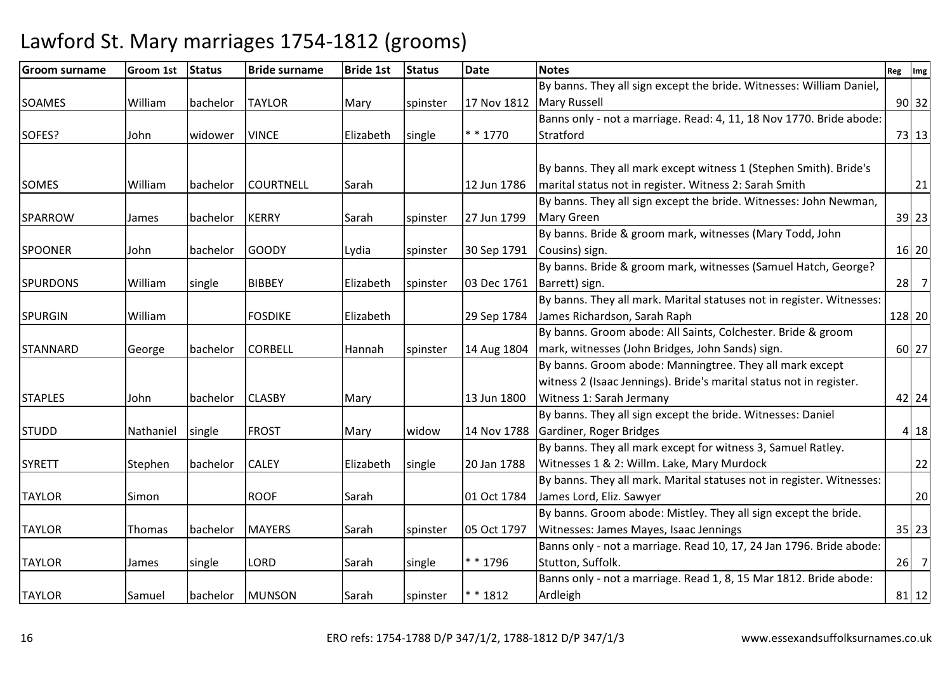| <b>Groom surname</b> | <b>Groom 1st</b> | <b>Status</b> | <b>Bride surname</b> | <b>Bride 1st</b> | <b>Status</b> | <b>Date</b> | <b>Notes</b>                                                          | Reg | Img            |
|----------------------|------------------|---------------|----------------------|------------------|---------------|-------------|-----------------------------------------------------------------------|-----|----------------|
|                      |                  |               |                      |                  |               |             | By banns. They all sign except the bride. Witnesses: William Daniel,  |     |                |
| SOAMES               | William          | bachelor      | <b>TAYLOR</b>        | Mary             | spinster      | 17 Nov 1812 | <b>Mary Russell</b>                                                   |     | 90 32          |
|                      |                  |               |                      |                  |               |             | Banns only - not a marriage. Read: 4, 11, 18 Nov 1770. Bride abode:   |     |                |
| SOFES?               | John             | widower       | <b>VINCE</b>         | Elizabeth        | single        | $* * 1770$  | Stratford                                                             |     | 73 13          |
|                      |                  |               |                      |                  |               |             |                                                                       |     |                |
|                      |                  |               |                      |                  |               |             | By banns. They all mark except witness 1 (Stephen Smith). Bride's     |     |                |
| <b>SOMES</b>         | William          | bachelor      | <b>COURTNELL</b>     | Sarah            |               | 12 Jun 1786 | marital status not in register. Witness 2: Sarah Smith                |     | 21             |
|                      |                  |               |                      |                  |               |             | By banns. They all sign except the bride. Witnesses: John Newman,     |     |                |
| <b>SPARROW</b>       | James            | bachelor      | <b>KERRY</b>         | Sarah            | spinster      | 27 Jun 1799 | <b>Mary Green</b>                                                     |     | 39 23          |
|                      |                  |               |                      |                  |               |             | By banns. Bride & groom mark, witnesses (Mary Todd, John              |     |                |
| <b>SPOONER</b>       | John             | bachelor      | <b>GOODY</b>         | Lydia            | spinster      | 30 Sep 1791 | Cousins) sign.                                                        |     | 16 20          |
|                      |                  |               |                      |                  |               |             | By banns. Bride & groom mark, witnesses (Samuel Hatch, George?        |     |                |
| <b>SPURDONS</b>      | William          | single        | <b>BIBBEY</b>        | Elizabeth        | spinster      | 03 Dec 1761 | Barrett) sign.                                                        | 28  | $\overline{7}$ |
|                      |                  |               |                      |                  |               |             | By banns. They all mark. Marital statuses not in register. Witnesses: |     |                |
| <b>SPURGIN</b>       | William          |               | <b>FOSDIKE</b>       | Elizabeth        |               | 29 Sep 1784 | James Richardson, Sarah Raph                                          |     | 128 20         |
|                      |                  |               |                      |                  |               |             | By banns. Groom abode: All Saints, Colchester. Bride & groom          |     |                |
| <b>STANNARD</b>      | George           | bachelor      | <b>CORBELL</b>       | Hannah           | spinster      | 14 Aug 1804 | mark, witnesses (John Bridges, John Sands) sign.                      |     | 60 27          |
|                      |                  |               |                      |                  |               |             | By banns. Groom abode: Manningtree. They all mark except              |     |                |
|                      |                  |               |                      |                  |               |             | witness 2 (Isaac Jennings). Bride's marital status not in register.   |     |                |
| <b>STAPLES</b>       | John             | bachelor      | <b>CLASBY</b>        | Mary             |               | 13 Jun 1800 | Witness 1: Sarah Jermany                                              |     | 42 24          |
|                      |                  |               |                      |                  |               |             | By banns. They all sign except the bride. Witnesses: Daniel           |     |                |
| <b>STUDD</b>         | Nathaniel        | single        | <b>FROST</b>         | Mary             | widow         | 14 Nov 1788 | Gardiner, Roger Bridges                                               |     | 4 18           |
|                      |                  |               |                      |                  |               |             | By banns. They all mark except for witness 3, Samuel Ratley.          |     |                |
| <b>SYRETT</b>        | Stephen          | bachelor      | <b>CALEY</b>         | Elizabeth        | single        | 20 Jan 1788 | Witnesses 1 & 2: Willm. Lake, Mary Murdock                            |     | 22             |
|                      |                  |               |                      |                  |               |             | By banns. They all mark. Marital statuses not in register. Witnesses: |     |                |
| <b>TAYLOR</b>        | Simon            |               | <b>ROOF</b>          | Sarah            |               | 01 Oct 1784 | James Lord, Eliz. Sawyer                                              |     | 20             |
|                      |                  |               |                      |                  |               |             | By banns. Groom abode: Mistley. They all sign except the bride.       |     |                |
| <b>TAYLOR</b>        | Thomas           | bachelor      | <b>MAYERS</b>        | Sarah            | spinster      | 05 Oct 1797 | Witnesses: James Mayes, Isaac Jennings                                |     | 35 23          |
|                      |                  |               |                      |                  |               |             | Banns only - not a marriage. Read 10, 17, 24 Jan 1796. Bride abode:   |     |                |
| <b>TAYLOR</b>        | James            | single        | LORD                 | Sarah            | single        | * * 1796    | Stutton, Suffolk.                                                     |     | $26$ 7         |
|                      |                  |               |                      |                  |               |             | Banns only - not a marriage. Read 1, 8, 15 Mar 1812. Bride abode:     |     |                |
| <b>TAYLOR</b>        | Samuel           | bachelor      | <b>MUNSON</b>        | Sarah            | spinster      | * * 1812    | Ardleigh                                                              |     | $81$   12      |